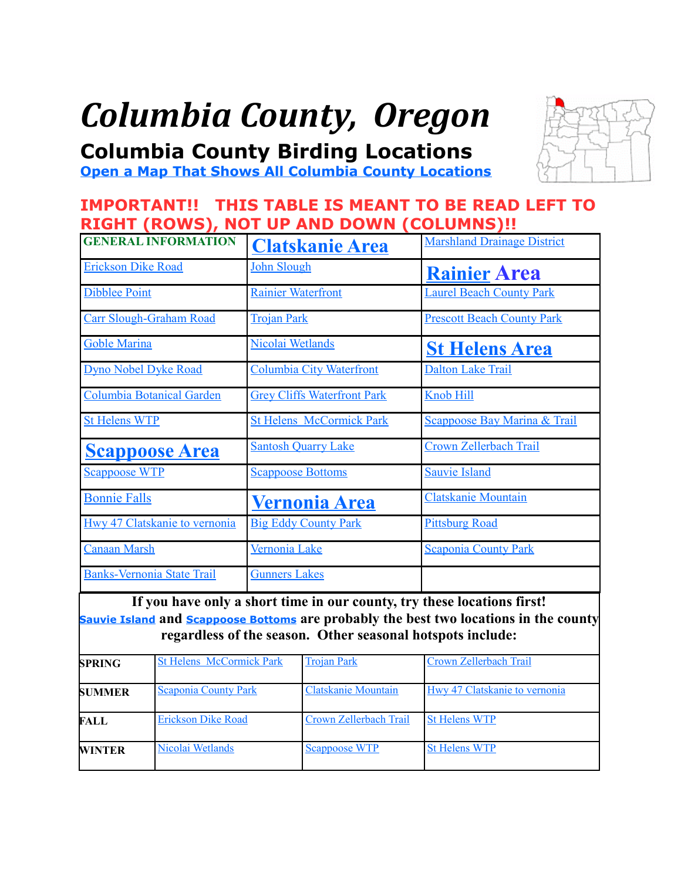# *Columbia County, Oregon*

<span id="page-0-0"></span>**Columbia County Birding Locations**

**[Open a Map That Shows All Columbia County Locations](https://www.google.com/maps/d/edit?mid=zVl1oTDALjf4.kL0Zr9fZSVQI&usp=sharing)**

# **IMPORTANT!! THIS TABLE IS MEANT TO BE READ LEFT TO RIGHT (ROWS), NOT UP AND DOWN (COLUMNS)!!**

| <b>GENERAL INFORMATION</b>           | <b>Clatskanie Area</b>             | <b>Marshland Drainage District</b> |
|--------------------------------------|------------------------------------|------------------------------------|
| <b>Erickson Dike Road</b>            | John Slough                        | <b>Rainier Area</b>                |
| <b>Dibblee Point</b>                 | <b>Rainier Waterfront</b>          | <b>Laurel Beach County Park</b>    |
| <b>Carr Slough-Graham Road</b>       | <b>Trojan Park</b>                 | <b>Prescott Beach County Park</b>  |
| <b>Goble Marina</b>                  | Nicolai Wetlands                   | <b>St Helens Area</b>              |
| <b>Dyno Nobel Dyke Road</b>          | <b>Columbia City Waterfront</b>    | <b>Dalton Lake Trail</b>           |
| <b>Columbia Botanical Garden</b>     | <b>Grey Cliffs Waterfront Park</b> | <b>Knob Hill</b>                   |
| <b>St Helens WTP</b>                 | <b>St Helens McCormick Park</b>    | Scappoose Bay Marina & Trail       |
| <b>Scappoose Area</b>                | <b>Santosh Quarry Lake</b>         | <b>Crown Zellerbach Trail</b>      |
| <b>Scappoose WTP</b>                 | <b>Scappoose Bottoms</b>           | <b>Sauvie Island</b>               |
| <b>Bonnie Falls</b>                  | <b>Vernonia Area</b>               | <b>Clatskanie Mountain</b>         |
| <b>Hwy 47 Clatskanie to vernonia</b> | <b>Big Eddy County Park</b>        | <b>Pittsburg Road</b>              |
| <b>Canaan Marsh</b>                  | Vernonia Lake                      | <b>Scaponia County Park</b>        |
| <b>Banks-Vernonia State Trail</b>    | <b>Gunners Lakes</b>               |                                    |

**If you have only a short time in our county, try these locations first! [Sauvie Island](#page-13-0) and [Scappoose Bottoms](#page-12-0) are probably the best two locations in the county regardless of the season. Other seasonal hotspots include:**

| <b>SPRING</b> | <b>St Helens McCormick Park</b> | <b>Trojan Park</b>         | Crown Zellerbach Trail        |
|---------------|---------------------------------|----------------------------|-------------------------------|
| <b>SUMMER</b> | Scaponia County Park            | <b>Clatskanie Mountain</b> | Hwy 47 Clatskanie to vernonia |
| <b>FALL</b>   | <b>Erickson Dike Road</b>       | Crown Zellerbach Trail     | <b>St Helens WTP</b>          |
| <b>WINTER</b> | Nicolai Wetlands                | <b>Scappoose WTP</b>       | <b>St Helens WTP</b>          |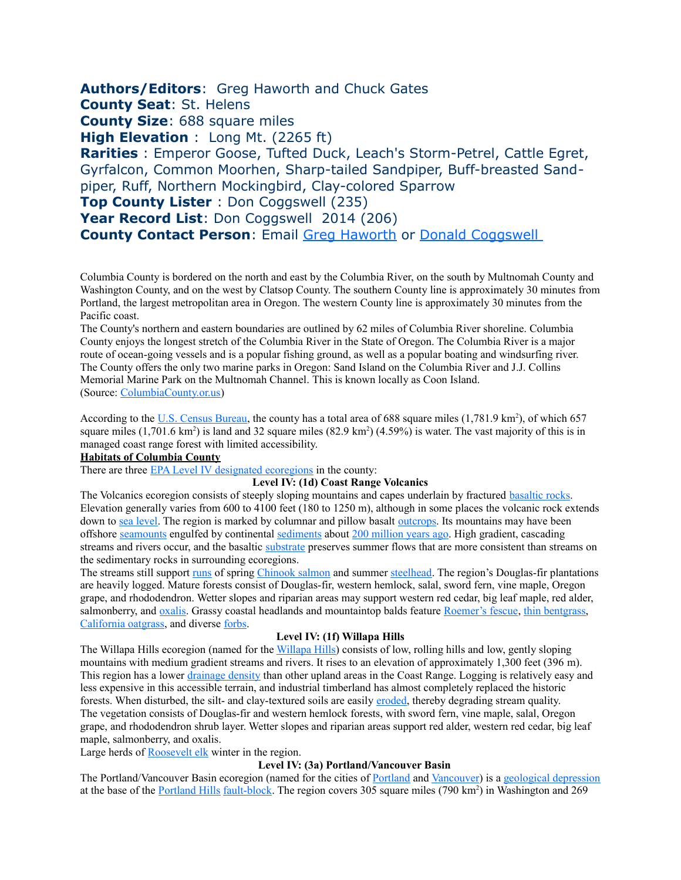<span id="page-1-0"></span>**Authors/Editors**: Greg Haworth and Chuck Gates **County Seat**: St. Helens **County Size**: 688 square miles **High Elevation** : Long Mt. (2265 ft) **Rarities** : Emperor Goose, Tufted Duck, Leach's Storm-Petrel, Cattle Egret, Gyrfalcon, Common Moorhen, Sharp-tailed Sandpiper, Buff-breasted Sandpiper, Ruff, Northern Mockingbird, Clay-colored Sparrow **Top County Lister** : Don Coggswell (235) Year Record List: Don Coggswell 2014 (206) **County Contact Person**: Email [Greg Haworth](mailto:g.haworth@gmail.com) or [Donald Coggswell](mailto:dcoggswell@hotmail.com) 

Columbia County is bordered on the north and east by the Columbia River, on the south by Multnomah County and Washington County, and on the west by Clatsop County. The southern County line is approximately 30 minutes from Portland, the largest metropolitan area in Oregon. The western County line is approximately 30 minutes from the Pacific coast.

The County's northern and eastern boundaries are outlined by 62 miles of Columbia River shoreline. Columbia County enjoys the longest stretch of the Columbia River in the State of Oregon. The Columbia River is a major route of ocean-going vessels and is a popular fishing ground, as well as a popular boating and windsurfing river. The County offers the only two marine parks in Oregon: Sand Island on the Columbia River and J.J. Collins Memorial Marine Park on the Multnomah Channel. This is known locally as Coon Island. (Source: [ColumbiaCounty.or.us\)](http://www.co.columbia.or.us/about-columbia-county/about-columbia-county)

According to the [U.S. Census Bureau,](http://en.wikipedia.org/wiki/United_States_Census_Bureau) the county has a total area of 688 square miles (1,781.9 km<sup>2</sup>), of which 657 square miles  $(1,701.6 \text{ km}^2)$  is land and 32 square miles  $(82.9 \text{ km}^2)$   $(4.59%)$  is water. The vast majority of this is in managed coast range forest with limited accessibility.

#### **Habitats of Columbia County**

There are three [EPA Level IV designated ecoregions](http://en.wikipedia.org/wiki/List_of_ecoregions_in_Oregon) in the county:

#### **Level IV: (1d) Coast Range Volcanics**

The Volcanics ecoregion consists of steeply sloping mountains and capes underlain by fractured [basaltic rocks.](http://en.wikipedia.org/wiki/Basalt) Elevation generally varies from 600 to 4100 feet (180 to 1250 m), although in some places the volcanic rock extends down to [sea level.](http://en.wikipedia.org/wiki/Sea_level) The region is marked by columnar and pillow basalt [outcrops.](http://en.wikipedia.org/wiki/Outcrop) Its mountains may have been offshore [seamounts](http://en.wikipedia.org/wiki/Seamount) engulfed by continental [sediments](http://en.wikipedia.org/wiki/Sediment) about [200 million years ago.](http://en.wikipedia.org/wiki/Triassic) High gradient, cascading streams and rivers occur, and the basaltic [substrate](http://en.wikipedia.org/wiki/Stratum) preserves summer flows that are more consistent than streams on the sedimentary rocks in surrounding ecoregions.

The streams still support [runs](http://en.wikipedia.org/wiki/Salmon_run) of spring [Chinook salmon](http://en.wikipedia.org/wiki/Chinook_salmon) and summer [steelhead.](http://en.wikipedia.org/wiki/Rainbow_trout) The region's Douglas-fir plantations are heavily logged. Mature forests consist of Douglas-fir, western hemlock, salal, sword fern, vine maple, Oregon grape, and rhododendron. Wetter slopes and riparian areas may support western red cedar, big leaf maple, red alder, salmonberry, and [oxalis.](http://en.wikipedia.org/wiki/Oxalis) Grassy coastal headlands and mountaintop balds feature [Roemer's fescue,](http://en.wikipedia.org/wiki/Roemer%E2%80%99s_fescue) [thin bentgrass,](http://en.wikipedia.org/wiki/Thin_bentgrass) [California oatgrass,](http://en.wikipedia.org/wiki/California_oatgrass) and diverse [forbs.](http://en.wikipedia.org/wiki/Forb)

#### **Level IV: (1f) Willapa Hills**

The Willapa Hills ecoregion (named for the [Willapa Hills\)](http://en.wikipedia.org/wiki/Willapa_Hills) consists of low, rolling hills and low, gently sloping mountains with medium gradient streams and rivers. It rises to an elevation of approximately 1,300 feet (396 m). This region has a lower [drainage density](http://en.wikipedia.org/wiki/Drainage_density) than other upland areas in the Coast Range. Logging is relatively easy and less expensive in this accessible terrain, and industrial timberland has almost completely replaced the historic forests. When disturbed, the silt- and clay-textured soils are easily [eroded,](http://en.wikipedia.org/wiki/Erosion) thereby degrading stream quality. The vegetation consists of Douglas-fir and western hemlock forests, with sword fern, vine maple, salal, Oregon grape, and rhododendron shrub layer. Wetter slopes and riparian areas support red alder, western red cedar, big leaf maple, salmonberry, and oxalis.

Large herds of **Roosevelt elk** winter in the region.

#### **Level IV: (3a) Portland/Vancouver Basin**

The Portland/Vancouver Basin ecoregion (named for the cities of [Portland](http://en.wikipedia.org/wiki/Portland,_Oregon) and [Vancouver\)](http://en.wikipedia.org/wiki/Vancouver,_Washington) is a [geological depression](http://en.wikipedia.org/wiki/Depression_(geology)) at the base of the [Portland Hills](http://en.wikipedia.org/wiki/Tualatin_Mountains) [fault-block.](http://en.wikipedia.org/wiki/Fault-block) The region covers 305 square miles (790 km<sup>2</sup>) in Washington and 269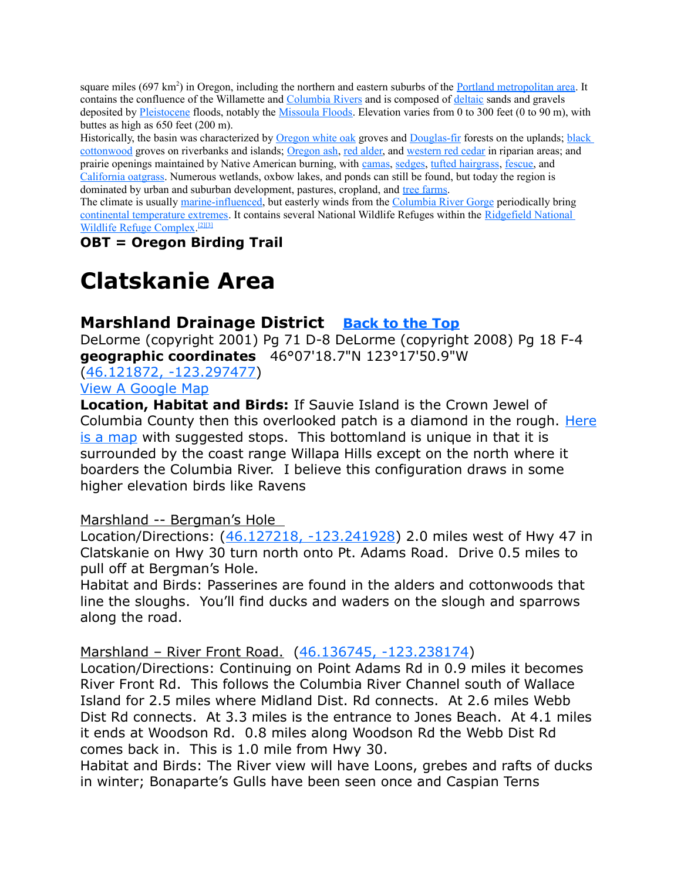square miles (697 km<sup>2</sup>) in Oregon, including the northern and eastern suburbs of the [Portland metropolitan area.](http://en.wikipedia.org/wiki/Portland_metropolitan_area) It contains the confluence of the Willamette and [Columbia Rivers](http://en.wikipedia.org/wiki/Columbia_River) and is composed of [deltaic](http://en.wikipedia.org/wiki/River_delta) sands and gravels deposited by [Pleistocene](http://en.wikipedia.org/wiki/Pleistocene) floods, notably the [Missoula Floods.](http://en.wikipedia.org/wiki/Missoula_Floods) Elevation varies from 0 to 300 feet (0 to 90 m), with buttes as high as 650 feet (200 m).

Historically, the basin was characterized by [Oregon white oak](http://en.wikipedia.org/wiki/Oregon_white_oak) groves and [Douglas-fir](http://en.wikipedia.org/wiki/Douglas-fir) forests on the uplands; [black](http://en.wikipedia.org/wiki/Black_cottonwood)  [cottonwood](http://en.wikipedia.org/wiki/Black_cottonwood) groves on riverbanks and islands; [Oregon ash,](http://en.wikipedia.org/wiki/Oregon_ash) [red alder,](http://en.wikipedia.org/wiki/Red_alder) and [western red cedar](http://en.wikipedia.org/wiki/Western_redcedar) in riparian areas; and prairie openings maintained by Native American burning, with [camas,](http://en.wikipedia.org/wiki/Camas_(plant)) [sedges,](http://en.wikipedia.org/wiki/Sedges) [tufted hairgrass,](http://en.wikipedia.org/wiki/Tufted_hairgrass) [fescue,](http://en.wikipedia.org/wiki/Fescue) and [California oatgrass.](http://en.wikipedia.org/wiki/California_oatgrass) Numerous wetlands, oxbow lakes, and ponds can still be found, but today the region is dominated by urban and suburban development, pastures, cropland, and [tree farms.](http://en.wikipedia.org/wiki/Tree_farm)

The climate is usually [marine-influenced,](http://en.wikipedia.org/wiki/Oceanic_climate) but easterly winds from the [Columbia River Gorge](http://en.wikipedia.org/wiki/Columbia_River_Gorge) periodically bring [continental temperature extremes.](http://en.wikipedia.org/wiki/Continental_climate) It contains several National Wildlife Refuges within the [Ridgefield National](http://en.wikipedia.org/wiki/Ridgefield_National_Wildlife_Refuge_Complex)  [Wildlife Refuge Complex.](http://en.wikipedia.org/wiki/Ridgefield_National_Wildlife_Refuge_Complex)<sup>[\[2\]](http://en.wikipedia.org/wiki/Willamette_Valley_(ecoregion)#cite_note-oregon4-1)[\[3\]](http://en.wikipedia.org/wiki/Willamette_Valley_(ecoregion)#cite_note-western4-2)</sup>

**OBT = Oregon Birding Trail**

# <span id="page-2-1"></span>**Clatskanie Area**

# <span id="page-2-0"></span>**Marshland Drainage District [Back to the Top](#page-0-0)**

DeLorme (copyright 2001) Pg 71 D-8 DeLorme (copyright 2008) Pg 18 F-4 **geographic coordinates** 46°07'18.7"N 123°17'50.9"W

[\(46.121872, -123.297477\)](https://www.google.com/maps/place/46%C2%B007)

[View A Google Map](http://maps.google.com/maps/ms?hl=en&ie=UTF8&msa=0&ll=45.939691,-122.865601&spn=1.545179,4.221497&z=9&msid=108036481085398338899.00046daeaf3672eff0e1a)

**Location, Habitat and Birds:** If Sauvie Island is the Crown Jewel of Columbia County then this overlooked patch is a diamond in the rough. [Here](http://goo.gl/maps/S6tt5) [is a map](http://goo.gl/maps/S6tt5) with suggested stops. This bottomland is unique in that it is surrounded by the coast range Willapa Hills except on the north where it boarders the Columbia River. I believe this configuration draws in some higher elevation birds like Ravens

### Marshland -- Bergman's Hole

Location/Directions: [\(46.127218, -123.241928\)](https://www.google.com/maps/place/46%C2%B007) 2.0 miles west of Hwy 47 in Clatskanie on Hwy 30 turn north onto Pt. Adams Road. Drive 0.5 miles to pull off at Bergman's Hole.

Habitat and Birds: Passerines are found in the alders and cottonwoods that line the sloughs. You'll find ducks and waders on the slough and sparrows along the road.

Marshland – River Front Road. [\(46.136745, -123.238174\)](https://www.google.com/maps/place/46%C2%B008)

Location/Directions: Continuing on Point Adams Rd in 0.9 miles it becomes River Front Rd. This follows the Columbia River Channel south of Wallace Island for 2.5 miles where Midland Dist. Rd connects. At 2.6 miles Webb Dist Rd connects. At 3.3 miles is the entrance to Jones Beach. At 4.1 miles it ends at Woodson Rd. 0.8 miles along Woodson Rd the Webb Dist Rd comes back in. This is 1.0 mile from Hwy 30.

Habitat and Birds: The River view will have Loons, grebes and rafts of ducks in winter; Bonaparte's Gulls have been seen once and Caspian Terns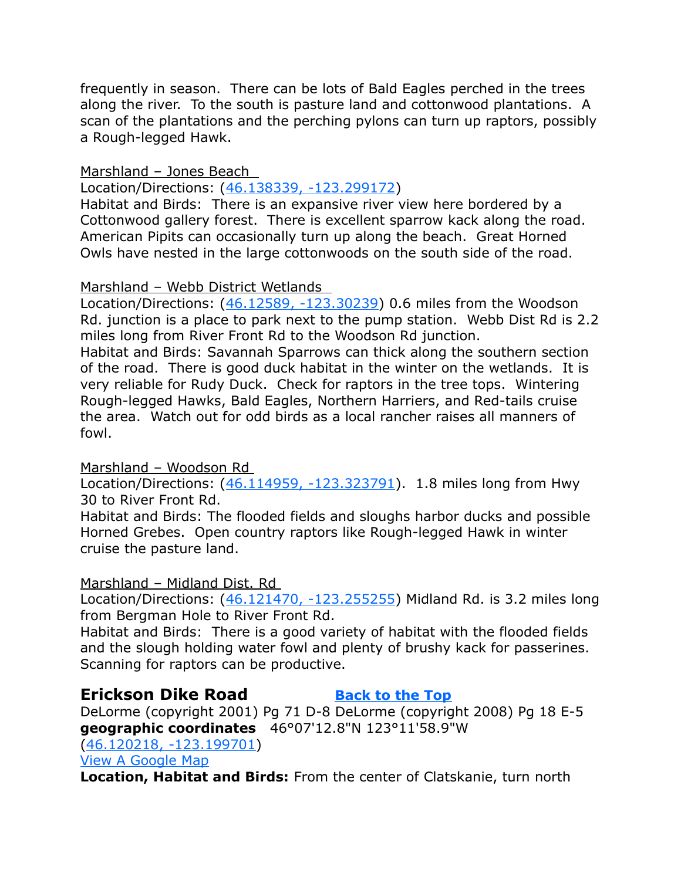frequently in season. There can be lots of Bald Eagles perched in the trees along the river. To the south is pasture land and cottonwood plantations. A scan of the plantations and the perching pylons can turn up raptors, possibly a Rough-legged Hawk.

#### Marshland – Jones Beach

Location/Directions: [\(46.138339, -123.299172\)](https://www.google.com/maps/place/46%C2%B008)

Habitat and Birds: There is an expansive river view here bordered by a Cottonwood gallery forest. There is excellent sparrow kack along the road. American Pipits can occasionally turn up along the beach. Great Horned Owls have nested in the large cottonwoods on the south side of the road.

#### Marshland – Webb District Wetlands

Location/Directions: [\(46.12589, -123.30239\)](https://www.google.com/maps/place/46%C2%B007) 0.6 miles from the Woodson Rd. junction is a place to park next to the pump station. Webb Dist Rd is 2.2 miles long from River Front Rd to the Woodson Rd junction.

Habitat and Birds: Savannah Sparrows can thick along the southern section of the road. There is good duck habitat in the winter on the wetlands. It is very reliable for Rudy Duck. Check for raptors in the tree tops. Wintering Rough-legged Hawks, Bald Eagles, Northern Harriers, and Red-tails cruise the area. Watch out for odd birds as a local rancher raises all manners of fowl.

Marshland – Woodson Rd

Location/Directions: [\(46.114959, -123.323791\)](https://www.google.com/maps/place/46%C2%B006). 1.8 miles long from Hwy 30 to River Front Rd.

Habitat and Birds: The flooded fields and sloughs harbor ducks and possible Horned Grebes. Open country raptors like Rough-legged Hawk in winter cruise the pasture land.

### Marshland – Midland Dist. Rd

Location/Directions: [\(46.121470, -123.255255\)](https://www.google.com/maps/place/46%C2%B007) Midland Rd. is 3.2 miles long from Bergman Hole to River Front Rd.

Habitat and Birds: There is a good variety of habitat with the flooded fields and the slough holding water fowl and plenty of brushy kack for passerines. Scanning for raptors can be productive.

## <span id="page-3-0"></span>**Erickson Dike Road [Back to the Top](#page-0-0)**

DeLorme (copyright 2001) Pg 71 D-8 DeLorme (copyright 2008) Pg 18 E-5 **geographic coordinates** 46°07'12.8"N 123°11'58.9"W [\(46.120218, -123.199701\)](https://www.google.com/maps/place/46%C2%B007)

#### [View A Google Map](https://mapsengine.google.com/map/edit?mid=zVl1oTDALjf4.kjN1XqXD7Dq4)

**Location, Habitat and Birds:** From the center of Clatskanie, turn north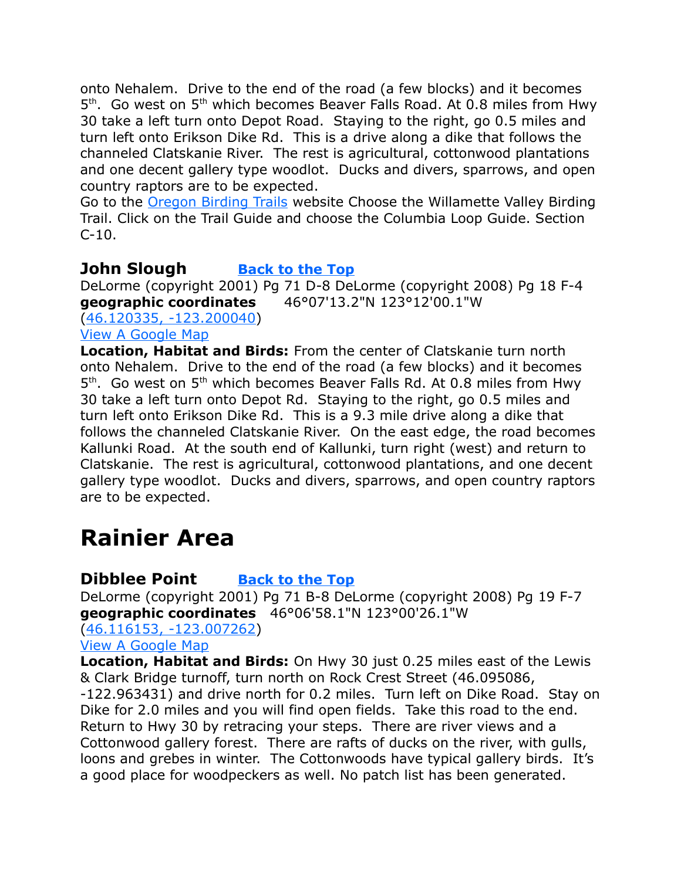onto Nehalem. Drive to the end of the road (a few blocks) and it becomes 5<sup>th</sup>. Go west on 5<sup>th</sup> which becomes Beaver Falls Road. At 0.8 miles from Hwy 30 take a left turn onto Depot Road. Staying to the right, go 0.5 miles and turn left onto Erikson Dike Rd. This is a drive along a dike that follows the channeled Clatskanie River. The rest is agricultural, cottonwood plantations and one decent gallery type woodlot. Ducks and divers, sparrows, and open country raptors are to be expected.

Go to the [Oregon Birding Trails](http://www.oregonbirdingtrails.org/) website Choose the Willamette Valley Birding Trail. Click on the Trail Guide and choose the Columbia Loop Guide. Section  $C-10.$ 

# <span id="page-4-2"></span>**John Slough [Back to the Top](#page-0-0)**

DeLorme (copyright 2001) Pg 71 D-8 DeLorme (copyright 2008) Pg 18 F-4 **geographic coordinates** 46°07'13.2"N 123°12'00.1"W [\(46.120335, -123.200040\)](https://www.google.com/maps/place/46%C2%B007) [View A Google Map](https://mapsengine.google.com/map/edit?mid=zVl1oTDALjf4.kjN1XqXD7Dq4)

**Location, Habitat and Birds:** From the center of Clatskanie turn north onto Nehalem. Drive to the end of the road (a few blocks) and it becomes 5<sup>th</sup>. Go west on 5<sup>th</sup> which becomes Beaver Falls Rd. At 0.8 miles from Hwy 30 take a left turn onto Depot Rd. Staying to the right, go 0.5 miles and turn left onto Erikson Dike Rd. This is a 9.3 mile drive along a dike that follows the channeled Clatskanie River. On the east edge, the road becomes Kallunki Road. At the south end of Kallunki, turn right (west) and return to Clatskanie. The rest is agricultural, cottonwood plantations, and one decent gallery type woodlot. Ducks and divers, sparrows, and open country raptors are to be expected.

# <span id="page-4-1"></span>**Rainier Area**

# <span id="page-4-0"></span>**Dibblee Point [Back to the Top](#page-0-0)**

DeLorme (copyright 2001) Pg 71 B-8 DeLorme (copyright 2008) Pg 19 F-7 **geographic coordinates** 46°06'58.1"N 123°00'26.1"W

[\(46.116153, -123.007262\)](https://www.google.com/maps/place/46%C2%B006)

[View A Google Map](https://mapsengine.google.com/map/edit?mid=zVl1oTDALjf4.kJGVBv8B-w3w)

**Location, Habitat and Birds:** On Hwy 30 just 0.25 miles east of the Lewis & Clark Bridge turnoff, turn north on Rock Crest Street (46.095086, -122.963431) and drive north for 0.2 miles. Turn left on Dike Road. Stay on Dike for 2.0 miles and you will find open fields. Take this road to the end. Return to Hwy 30 by retracing your steps. There are river views and a Cottonwood gallery forest. There are rafts of ducks on the river, with gulls, loons and grebes in winter. The Cottonwoods have typical gallery birds. It's a good place for woodpeckers as well. No patch list has been generated.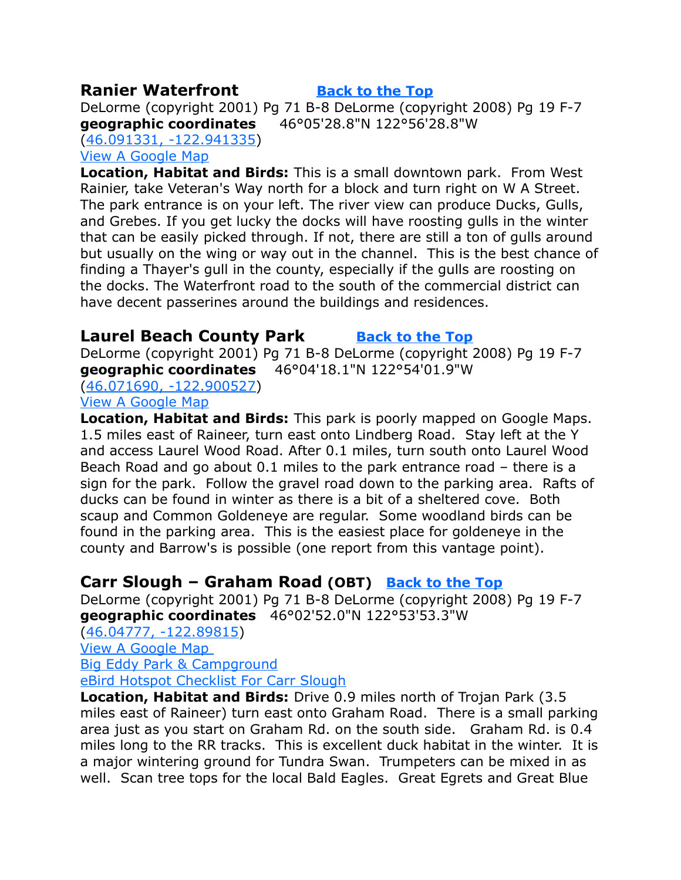### <span id="page-5-2"></span>**Ranier Waterfront [Back to the Top](#page-0-0)**

DeLorme (copyright 2001) Pg 71 B-8 DeLorme (copyright 2008) Pg 19 F-7 **geographic coordinates** 46°05'28.8"N 122°56'28.8"W

[\(46.091331, -122.941335\)](https://www.google.com/maps/place/46%C2%B005) [View A Google Map](https://mapsengine.google.com/map/edit?mid=zVl1oTDALjf4.kJGVBv8B-w3w)

**Location, Habitat and Birds:** This is a small downtown park. From West Rainier, take Veteran's Way north for a block and turn right on W A Street. The park entrance is on your left. The river view can produce Ducks, Gulls, and Grebes. If you get lucky the docks will have roosting gulls in the winter that can be easily picked through. If not, there are still a ton of gulls around but usually on the wing or way out in the channel. This is the best chance of finding a Thayer's gull in the county, especially if the gulls are roosting on the docks. The Waterfront road to the south of the commercial district can have decent passerines around the buildings and residences.

### <span id="page-5-1"></span>**Laurel Beach County Park [Back to the Top](#page-0-0)**

DeLorme (copyright 2001) Pg 71 B-8 DeLorme (copyright 2008) Pg 19 F-7 **geographic coordinates** 46°04'18.1"N 122°54'01.9"W [\(46.071690, -122.900527\)](https://www.google.com/maps/place/46%C2%B004)

[View A Google Map](https://mapsengine.google.com/map/edit?mid=zVl1oTDALjf4.kYqCrwva9YfE)

**Location, Habitat and Birds:** This park is poorly mapped on Google Maps. 1.5 miles east of Raineer, turn east onto Lindberg Road. Stay left at the Y and access Laurel Wood Road. After 0.1 miles, turn south onto Laurel Wood Beach Road and go about 0.1 miles to the park entrance road – there is a sign for the park. Follow the gravel road down to the parking area. Rafts of ducks can be found in winter as there is a bit of a sheltered cove. Both scaup and Common Goldeneye are regular. Some woodland birds can be found in the parking area. This is the easiest place for goldeneye in the county and Barrow's is possible (one report from this vantage point).

# <span id="page-5-0"></span>**Carr Slough – Graham Road (OBT) [Back to the Top](#page-0-0)**

DeLorme (copyright 2001) Pg 71 B-8 DeLorme (copyright 2008) Pg 19 F-7 **geographic coordinates** 46°02'52.0"N 122°53'53.3"W

[\(46.04777, -122.89815\)](https://www.google.com/maps/place/46%C2%B002)

[View A Google Map](https://mapsengine.google.com/map/edit?mid=zVl1oTDALjf4.kYqCrwva9YfE) 

[Big Eddy Park & Campground](http://www.freeguidetonwcamping.com/Oregon_Washington_Main/Oregon/Portland_Area/Big_Eddy_Park.htm)

[eBird Hotspot Checklist For Carr Slough](http://ebird.org/ebird/hotspot/L478286?yr=all&m=&rank=mrec)

**Location, Habitat and Birds:** Drive 0.9 miles north of Trojan Park (3.5 miles east of Raineer) turn east onto Graham Road. There is a small parking area just as you start on Graham Rd. on the south side. Graham Rd. is 0.4 miles long to the RR tracks. This is excellent duck habitat in the winter. It is a major wintering ground for Tundra Swan. Trumpeters can be mixed in as well. Scan tree tops for the local Bald Eagles. Great Egrets and Great Blue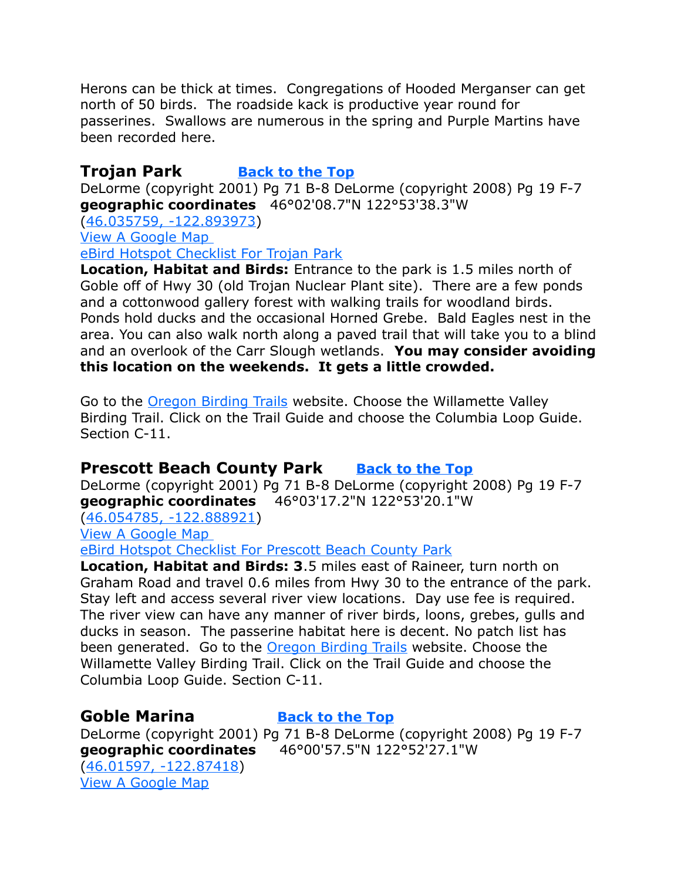Herons can be thick at times. Congregations of Hooded Merganser can get north of 50 birds. The roadside kack is productive year round for passerines. Swallows are numerous in the spring and Purple Martins have been recorded here.

# <span id="page-6-0"></span>**Trojan Park [Back to the Top](#page-0-0)**

DeLorme (copyright 2001) Pg 71 B-8 DeLorme (copyright 2008) Pg 19 F-7 **geographic coordinates** 46°02'08.7"N 122°53'38.3"W

[\(46.035759, -122.893973\)](https://www.google.com/maps/place/46%C2%B002)

[View A Google Map](https://mapsengine.google.com/map/edit?mid=zVl1oTDALjf4.kYqCrwva9YfE) 

[eBird Hotspot Checklist For Trojan Park](http://ebird.org/ebird/hotspot/L3026869?yr=all&m=&rank=mrec)

**Location, Habitat and Birds:** Entrance to the park is 1.5 miles north of Goble off of Hwy 30 (old Trojan Nuclear Plant site). There are a few ponds and a cottonwood gallery forest with walking trails for woodland birds. Ponds hold ducks and the occasional Horned Grebe. Bald Eagles nest in the area. You can also walk north along a paved trail that will take you to a blind and an overlook of the Carr Slough wetlands. **You may consider avoiding this location on the weekends. It gets a little crowded.** 

Go to the [Oregon Birding Trails](http://www.oregonbirdingtrails.org/) website. Choose the Willamette Valley Birding Trail. Click on the Trail Guide and choose the Columbia Loop Guide. Section C-11.

## <span id="page-6-2"></span>**Prescott Beach County Park** [Back to the Top](#page-0-0)

DeLorme (copyright 2001) Pg 71 B-8 DeLorme (copyright 2008) Pg 19 F-7 **geographic coordinates** 46°03'17.2"N 122°53'20.1"W

[\(46.054785, -122.888921\)](https://www.google.com/maps/place/46%C2%B003)

[View A Google Map](https://mapsengine.google.com/map/edit?mid=zVl1oTDALjf4.kYqCrwva9YfE) 

[eBird Hotspot Checklist For Prescott Beach County Park](http://ebird.org/ebird/hotspot/L3367806?yr=all&m=&rank=mrec)

**Location, Habitat and Birds: 3**.5 miles east of Raineer, turn north on Graham Road and travel 0.6 miles from Hwy 30 to the entrance of the park. Stay left and access several river view locations. Day use fee is required. The river view can have any manner of river birds, loons, grebes, gulls and ducks in season. The passerine habitat here is decent. No patch list has been generated. Go to the **Oregon Birding Trails** website. Choose the Willamette Valley Birding Trail. Click on the Trail Guide and choose the Columbia Loop Guide. Section C-11.

### <span id="page-6-1"></span>**Goble Marina [Back to the Top](#page-0-0)**

DeLorme (copyright 2001) Pg 71 B-8 DeLorme (copyright 2008) Pg 19 F-7 **geographic coordinates** 46°00'57.5"N 122°52'27.1"W [\(46.01597, -122.87418\)](https://www.google.com/maps/place/46%C2%B000)

[View A Google Map](https://mapsengine.google.com/map/edit?mid=zVl1oTDALjf4.kYqCrwva9YfE)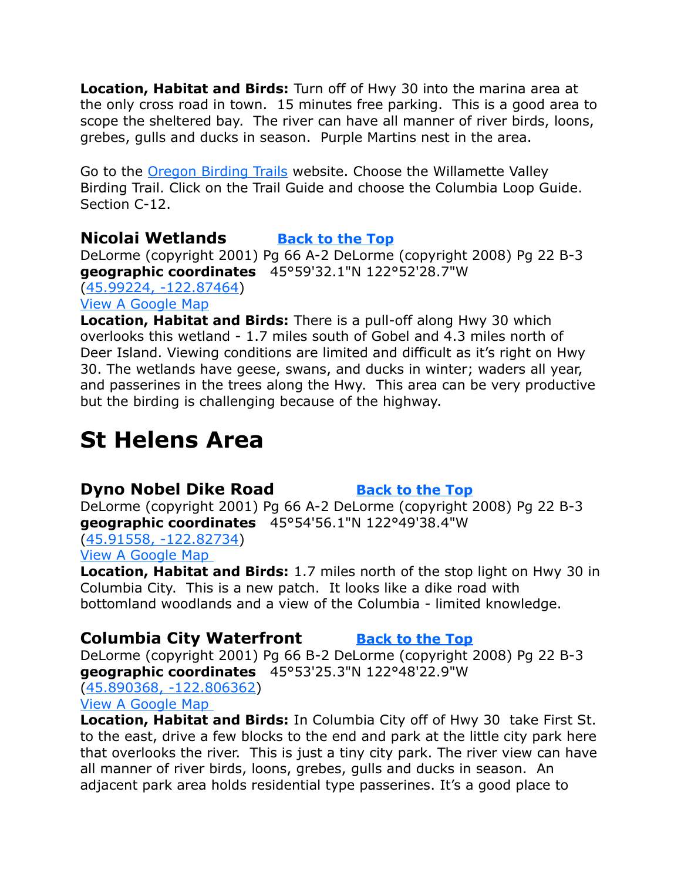**Location, Habitat and Birds:** Turn off of Hwy 30 into the marina area at the only cross road in town. 15 minutes free parking. This is a good area to scope the sheltered bay. The river can have all manner of river birds, loons, grebes, gulls and ducks in season. Purple Martins nest in the area.

Go to the [Oregon Birding Trails](http://www.oregonbirdingtrails.org/) website. Choose the Willamette Valley Birding Trail. Click on the Trail Guide and choose the Columbia Loop Guide. Section C-12.

### <span id="page-7-0"></span>**Nicolai Wetlands [Back to the Top](#page-0-0)**

DeLorme (copyright 2001) Pg 66 A-2 DeLorme (copyright 2008) Pg 22 B-3 **geographic coordinates** 45°59'32.1"N 122°52'28.7"W [\(45.99224, -122.87464\)](https://www.google.com/maps/place/45%C2%B059) [View A Google Map](https://mapsengine.google.com/map/edit?mid=zVl1oTDALjf4.kYqCrwva9YfE)

**Location, Habitat and Birds:** There is a pull-off along Hwy 30 which overlooks this wetland - 1.7 miles south of Gobel and 4.3 miles north of Deer Island. Viewing conditions are limited and difficult as it's right on Hwy 30. The wetlands have geese, swans, and ducks in winter; waders all year, and passerines in the trees along the Hwy. This area can be very productive but the birding is challenging because of the highway.

# <span id="page-7-3"></span>**St Helens Area**

# <span id="page-7-2"></span>**Dyno Nobel Dike Road [Back to the Top](#page-0-0)**

DeLorme (copyright 2001) Pg 66 A-2 DeLorme (copyright 2008) Pg 22 B-3 **geographic coordinates** 45°54'56.1"N 122°49'38.4"W

[\(45.91558, -122.82734\)](https://www.google.com/maps/place/45%C2%B054) [View A Google Map](http://maps.google.com/maps/ms?hl=en&ie=UTF8&msa=0&ll=45.939691,-122.865601&spn=1.545179,4.221497&z=9&msid=108036481085398338899.00046daeaf3672eff0e1a) 

**Location, Habitat and Birds:** 1.7 miles north of the stop light on Hwy 30 in Columbia City. This is a new patch. It looks like a dike road with bottomland woodlands and a view of the Columbia - limited knowledge.

## <span id="page-7-1"></span>**Columbia City Waterfront [Back to the Top](#page-0-0)**

DeLorme (copyright 2001) Pg 66 B-2 DeLorme (copyright 2008) Pg 22 B-3 **geographic coordinates** 45°53'25.3"N 122°48'22.9"W [\(45.890368, -122.806362\)](https://www.google.com/maps/place/45%C2%B053)

[View A Google Map](https://mapsengine.google.com/map/edit?mid=zVl1oTDALjf4.kw7b6x2R_lG4) 

**Location, Habitat and Birds:** In Columbia City off of Hwy 30 take First St. to the east, drive a few blocks to the end and park at the little city park here that overlooks the river. This is just a tiny city park. The river view can have all manner of river birds, loons, grebes, gulls and ducks in season. An adjacent park area holds residential type passerines. It's a good place to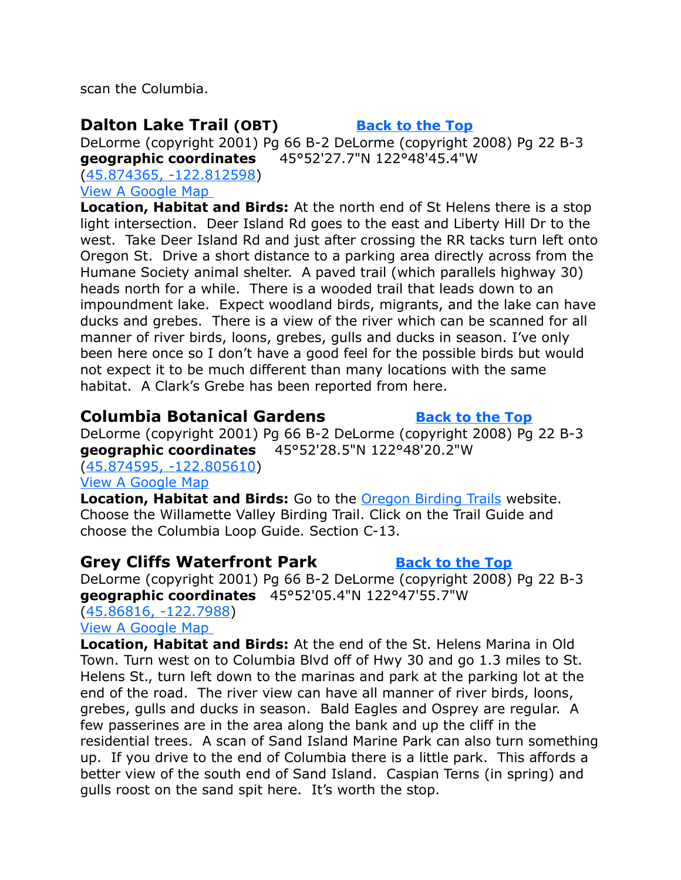scan the Columbia.

# <span id="page-8-2"></span>**Dalton Lake Trail** (OBT) **[Back to the Top](#page-0-0)**

DeLorme (copyright 2001) Pg 66 B-2 DeLorme (copyright 2008) Pg 22 B-3 **geographic coordinates** 45°52'27.7"N 122°48'45.4"W

[\(45.874365, -122.812598\)](https://www.google.com/maps/place/45%C2%B052) [View A Google Map](http://maps.google.com/maps/ms?hl=en&ie=UTF8&msa=0&ll=45.939691,-122.865601&spn=1.545179,4.221497&z=9&msid=108036481085398338899.00046daeaf3672eff0e1a) 

**Location, Habitat and Birds:** At the north end of St Helens there is a stop light intersection. Deer Island Rd goes to the east and Liberty Hill Dr to the west. Take Deer Island Rd and just after crossing the RR tacks turn left onto Oregon St. Drive a short distance to a parking area directly across from the Humane Society animal shelter. A paved trail (which parallels highway 30) heads north for a while. There is a wooded trail that leads down to an impoundment lake. Expect woodland birds, migrants, and the lake can have ducks and grebes. There is a view of the river which can be scanned for all manner of river birds, loons, grebes, gulls and ducks in season. I've only been here once so I don't have a good feel for the possible birds but would not expect it to be much different than many locations with the same habitat. A Clark's Grebe has been reported from here.

# <span id="page-8-1"></span>**Columbia Botanical Gardens** *[Back to the Top](#page-0-0)*

DeLorme (copyright 2001) Pg 66 B-2 DeLorme (copyright 2008) Pg 22 B-3 **geographic coordinates** 45°52'28.5"N 122°48'20.2"W

[\(45.874595, -122.805610\)](https://www.google.com/maps/place/45%C2%B052)

#### [View A Google Map](https://mapsengine.google.com/map/edit?mid=zVl1oTDALjf4.kw7b6x2R_lG4)

**Location, Habitat and Birds:** Go to the [Oregon Birding Trails](http://www.oregonbirdingtrails.org/) website. Choose the Willamette Valley Birding Trail. Click on the Trail Guide and choose the Columbia Loop Guide. Section C-13.

# <span id="page-8-0"></span>**Grey Cliffs Waterfront Park [Back to the Top](#page-0-0)**

DeLorme (copyright 2001) Pg 66 B-2 DeLorme (copyright 2008) Pg 22 B-3 **geographic coordinates** 45°52'05.4"N 122°47'55.7"W

#### [\(45.86816, -122.7988\)](https://www.google.com/maps/place/45%C2%B052) [View A Google Map](https://mapsengine.google.com/map/edit?mid=zVl1oTDALjf4.kw7b6x2R_lG4)

**Location, Habitat and Birds:** At the end of the St. Helens Marina in Old Town. Turn west on to Columbia Blvd off of Hwy 30 and go 1.3 miles to St. Helens St., turn left down to the marinas and park at the parking lot at the end of the road. The river view can have all manner of river birds, loons, grebes, gulls and ducks in season. Bald Eagles and Osprey are regular. A few passerines are in the area along the bank and up the cliff in the residential trees. A scan of Sand Island Marine Park can also turn something up. If you drive to the end of Columbia there is a little park. This affords a better view of the south end of Sand Island. Caspian Terns (in spring) and gulls roost on the sand spit here. It's worth the stop.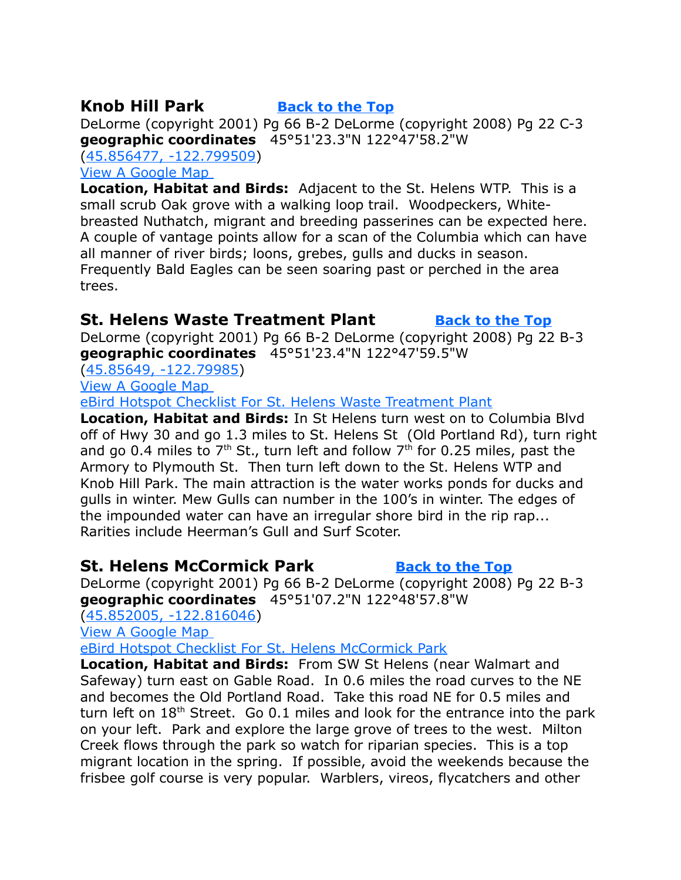# <span id="page-9-2"></span>**Knob Hill Park [Back to the Top](#page-0-0)**

DeLorme (copyright 2001) Pg 66 B-2 DeLorme (copyright 2008) Pg 22 C-3 **geographic coordinates** 45°51'23.3"N 122°47'58.2"W [\(45.856477, -122.799509\)](https://www.google.com/maps/place/45%C2%B051)

[View A Google Map](http://maps.google.com/maps/ms?hl=en&ie=UTF8&msa=0&ll=45.939691,-122.865601&spn=1.545179,4.221497&z=9&msid=108036481085398338899.00046daeaf3672eff0e1a) 

**Location, Habitat and Birds:** Adjacent to the St. Helens WTP. This is a small scrub Oak grove with a walking loop trail. Woodpeckers, Whitebreasted Nuthatch, migrant and breeding passerines can be expected here. A couple of vantage points allow for a scan of the Columbia which can have all manner of river birds; loons, grebes, gulls and ducks in season. Frequently Bald Eagles can be seen soaring past or perched in the area trees.

# <span id="page-9-0"></span>**St. Helens Waste Treatment Plant [Back to the Top](#page-0-0)**

DeLorme (copyright 2001) Pg 66 B-2 DeLorme (copyright 2008) Pg 22 B-3 **geographic coordinates** 45°51'23.4"N 122°47'59.5"W

[\(45.85649, -122.79985\)](https://www.google.com/maps/place/45%C2%B051)

[View A Google Map](http://maps.google.com/maps/ms?hl=en&ie=UTF8&msa=0&ll=45.939691,-122.865601&spn=1.545179,4.221497&z=9&msid=108036481085398338899.00046daeaf3672eff0e1a) 

[eBird Hotspot Checklist For St. Helens Waste Treatment Plant](http://ebird.org/ebird/hotspot/L3649020?yr=all&m=&rank=mrec)

**Location, Habitat and Birds:** In St Helens turn west on to Columbia Blvd off of Hwy 30 and go 1.3 miles to St. Helens St (Old Portland Rd), turn right and go 0.4 miles to  $7<sup>th</sup>$  St., turn left and follow  $7<sup>th</sup>$  for 0.25 miles, past the Armory to Plymouth St. Then turn left down to the St. Helens WTP and Knob Hill Park. The main attraction is the water works ponds for ducks and gulls in winter. Mew Gulls can number in the 100's in winter. The edges of the impounded water can have an irregular shore bird in the rip rap... Rarities include Heerman's Gull and Surf Scoter.

# <span id="page-9-1"></span>**St. Helens McCormick Park [Back to the Top](#page-0-0)**

DeLorme (copyright 2001) Pg 66 B-2 DeLorme (copyright 2008) Pg 22 B-3 **geographic coordinates** 45°51'07.2"N 122°48'57.8"W

[\(45.852005, -122.816046\)](https://www.google.com/maps/place/45%C2%B051)

[View A Google Map](http://maps.google.com/maps/ms?hl=en&ie=UTF8&msa=0&ll=45.939691,-122.865601&spn=1.545179,4.221497&z=9&msid=108036481085398338899.00046daeaf3672eff0e1a) 

[eBird Hotspot Checklist For St. Helens McCormick Park](http://ebird.org/ebird/hotspot/L3649062)

**Location, Habitat and Birds:** From SW St Helens (near Walmart and Safeway) turn east on Gable Road. In 0.6 miles the road curves to the NE and becomes the Old Portland Road. Take this road NE for 0.5 miles and turn left on  $18<sup>th</sup>$  Street. Go 0.1 miles and look for the entrance into the park on your left. Park and explore the large grove of trees to the west. Milton Creek flows through the park so watch for riparian species. This is a top migrant location in the spring. If possible, avoid the weekends because the frisbee golf course is very popular. Warblers, vireos, flycatchers and other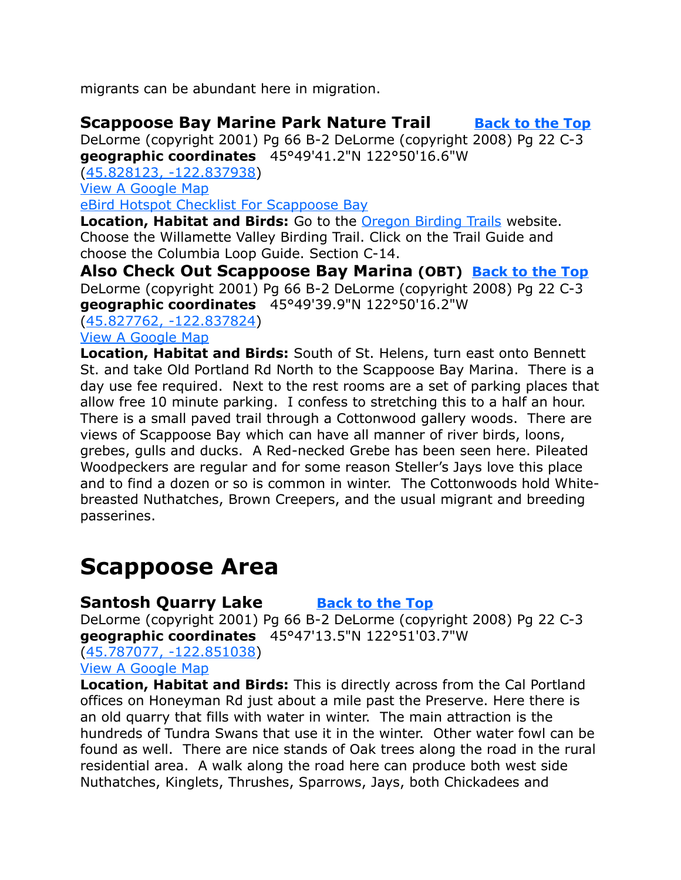migrants can be abundant here in migration.

# <span id="page-10-2"></span>**Scappoose Bay Marine Park Nature Trail [Back to the Top](#page-0-0)**

DeLorme (copyright 2001) Pg 66 B-2 DeLorme (copyright 2008) Pg 22 C-3 **geographic coordinates** 45°49'41.2"N 122°50'16.6"W

[\(45.828123, -122.837938\)](https://www.google.com/maps/place/45%C2%B049) [View A Google Map](https://mapsengine.google.com/map/edit?mid=zVl1oTDALjf4.kdeeelo6h4oM&authuser=0&hl=en) [eBird Hotspot Checklist For Scappoose Bay](http://ebird.org/ebird/hotspot/L2801282?yr=all&m=&rank=mrec)

**Location, Habitat and Birds:** Go to the [Oregon Birding Trails](http://www.oregonbirdingtrails.org/) website. Choose the Willamette Valley Birding Trail. Click on the Trail Guide and choose the Columbia Loop Guide. Section C-14.

**Also Check Out Scappoose Bay Marina (OBT) [Back to the Top](#page-0-0)** DeLorme (copyright 2001) Pg 66 B-2 DeLorme (copyright 2008) Pg 22 C-3 **geographic coordinates** 45°49'39.9"N 122°50'16.2"W

[\(45.827762, -122.837824\)](https://www.google.com/maps/place/45%C2%B049) [View A Google Map](https://mapsengine.google.com/map/edit?mid=zVl1oTDALjf4.kdeeelo6h4oM&authuser=0&hl=en)

**Location, Habitat and Birds:** South of St. Helens, turn east onto Bennett St. and take Old Portland Rd North to the Scappoose Bay Marina. There is a day use fee required. Next to the rest rooms are a set of parking places that allow free 10 minute parking. I confess to stretching this to a half an hour. There is a small paved trail through a Cottonwood gallery woods. There are views of Scappoose Bay which can have all manner of river birds, loons, grebes, gulls and ducks. A Red-necked Grebe has been seen here. Pileated Woodpeckers are regular and for some reason Steller's Jays love this place and to find a dozen or so is common in winter. The Cottonwoods hold Whitebreasted Nuthatches, Brown Creepers, and the usual migrant and breeding passerines.

# <span id="page-10-1"></span>**Scappoose Area**

# <span id="page-10-0"></span>**Santosh Quarry Lake [Back to the Top](#page-0-0)**

DeLorme (copyright 2001) Pg 66 B-2 DeLorme (copyright 2008) Pg 22 C-3 **geographic coordinates** 45°47'13.5"N 122°51'03.7"W

[\(45.787077, -122.851038\)](https://www.google.com/maps/place/45%C2%B047)

[View A Google Map](https://mapsengine.google.com/map/edit?mid=zVl1oTDALjf4.kdeeelo6h4oM&authuser=0&hl=en)

**Location, Habitat and Birds:** This is directly across from the Cal Portland offices on Honeyman Rd just about a mile past the Preserve. Here there is an old quarry that fills with water in winter. The main attraction is the hundreds of Tundra Swans that use it in the winter. Other water fowl can be found as well. There are nice stands of Oak trees along the road in the rural residential area. A walk along the road here can produce both west side Nuthatches, Kinglets, Thrushes, Sparrows, Jays, both Chickadees and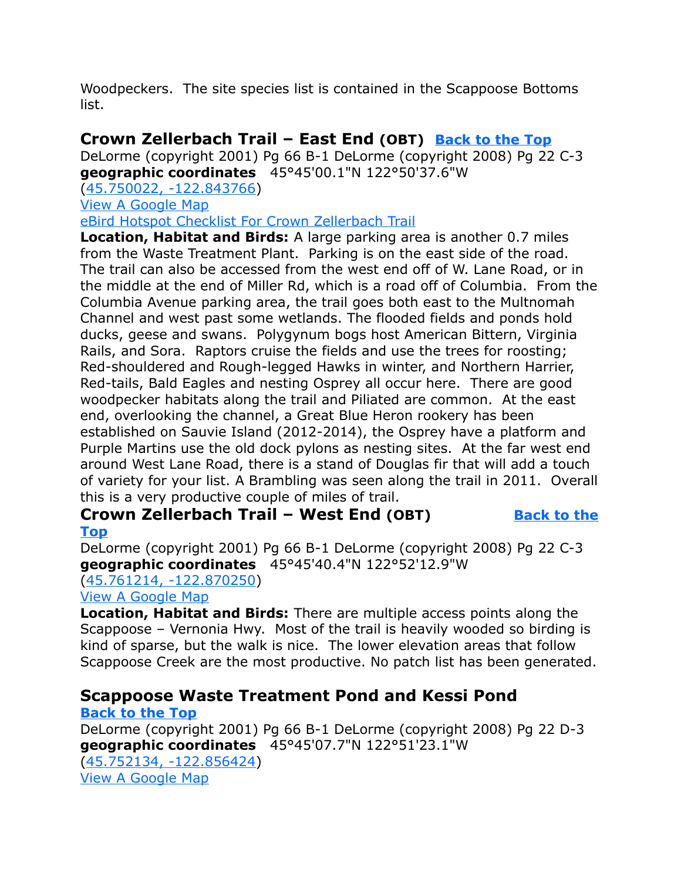Woodpeckers. The site species list is contained in the Scappoose Bottoms list.

# <span id="page-11-1"></span>**Crown Zellerbach Trail – East End (OBT) [Back to the Top](#page-0-0)**

DeLorme (copyright 2001) Pg 66 B-1 DeLorme (copyright 2008) Pg 22 C-3 **geographic coordinates** 45°45'00.1"N 122°50'37.6"W

[\(45.750022, -122.843766\)](https://www.google.com/maps/place/45%C2%B045)

[View A Google Map](https://mapsengine.google.com/map/edit?mid=zVl1oTDALjf4.kdeeelo6h4oM&authuser=0&hl=en)

[eBird Hotspot Checklist For Crown Zellerbach Trail](http://ebird.org/ebird/hotspot/L1323033?yr=all&m=&rank=mrec)

**Location, Habitat and Birds:** A large parking area is another 0.7 miles from the Waste Treatment Plant. Parking is on the east side of the road. The trail can also be accessed from the west end off of W. Lane Road, or in the middle at the end of Miller Rd, which is a road off of Columbia. From the Columbia Avenue parking area, the trail goes both east to the Multnomah Channel and west past some wetlands. The flooded fields and ponds hold ducks, geese and swans. Polygynum bogs host American Bittern, Virginia Rails, and Sora. Raptors cruise the fields and use the trees for roosting; Red-shouldered and Rough-legged Hawks in winter, and Northern Harrier, Red-tails, Bald Eagles and nesting Osprey all occur here. There are good woodpecker habitats along the trail and Piliated are common. At the east end, overlooking the channel, a Great Blue Heron rookery has been established on Sauvie Island (2012-2014), the Osprey have a platform and Purple Martins use the old dock pylons as nesting sites. At the far west end around West Lane Road, there is a stand of Douglas fir that will add a touch of variety for your list. A Brambling was seen along the trail in 2011. Overall this is a very productive couple of miles of trail.

#### **Crown Zellerbach Trail – West End (OBT) [Back to the](#page-0-0) [Top](#page-0-0)**

DeLorme (copyright 2001) Pg 66 B-1 DeLorme (copyright 2008) Pg 22 C-3 **geographic coordinates** 45°45'40.4"N 122°52'12.9"W

### [\(45.761214, -122.870250\)](https://www.google.com/maps/place/45%C2%B045)

#### [View A Google Map](https://mapsengine.google.com/map/edit?mid=zVl1oTDALjf4.kdeeelo6h4oM&authuser=0&hl=en)

**Location, Habitat and Birds:** There are multiple access points along the Scappoose – Vernonia Hwy. Most of the trail is heavily wooded so birding is kind of sparse, but the walk is nice. The lower elevation areas that follow Scappoose Creek are the most productive. No patch list has been generated.

# <span id="page-11-0"></span>**Scappoose Waste Treatment Pond and Kessi Pond**

### **[Back to the Top](#page-0-0)**

DeLorme (copyright 2001) Pg 66 B-1 DeLorme (copyright 2008) Pg 22 D-3 **geographic coordinates** 45°45'07.7"N 122°51'23.1"W [\(45.752134, -122.856424\)](https://www.google.com/maps/place/45%C2%B045) [View A Google Map](https://mapsengine.google.com/map/edit?mid=zVl1oTDALjf4.kdeeelo6h4oM&authuser=0&hl=en)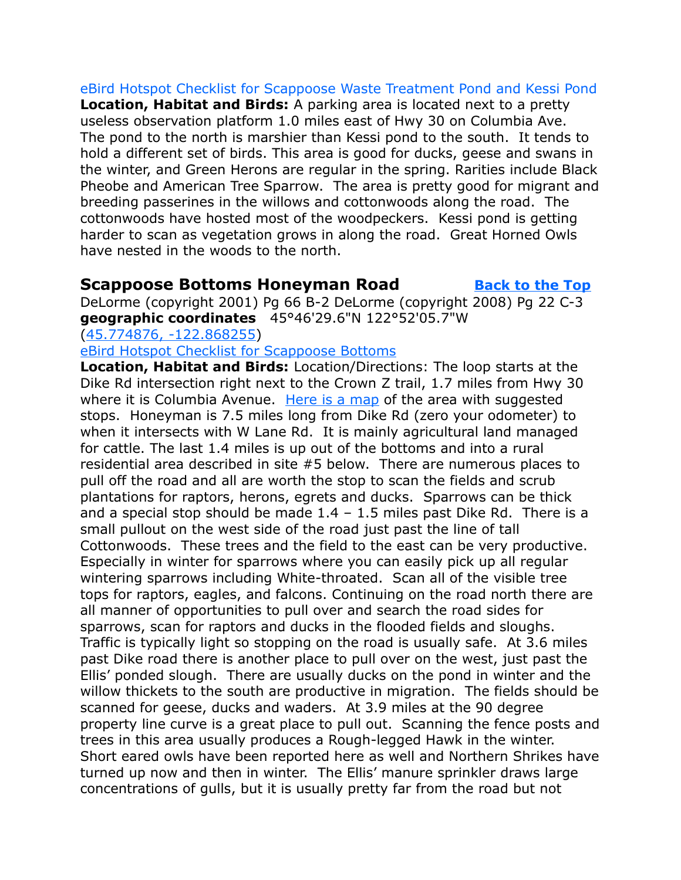[eBird Hotspot Checklist for Scappoose Waste Treatment Pond and Kessi Pond](http://ebird.org/ebird/hotspot/L2433242?yr=all&m=&rank=mrec) **Location, Habitat and Birds:** A parking area is located next to a pretty useless observation platform 1.0 miles east of Hwy 30 on Columbia Ave. The pond to the north is marshier than Kessi pond to the south. It tends to hold a different set of birds. This area is good for ducks, geese and swans in the winter, and Green Herons are regular in the spring. Rarities include Black Pheobe and American Tree Sparrow. The area is pretty good for migrant and breeding passerines in the willows and cottonwoods along the road. The cottonwoods have hosted most of the woodpeckers. Kessi pond is getting harder to scan as vegetation grows in along the road. Great Horned Owls have nested in the woods to the north.

### <span id="page-12-0"></span>**Scappoose Bottoms Honeyman Road [Back to the Top](#page-0-0)**

DeLorme (copyright 2001) Pg 66 B-2 DeLorme (copyright 2008) Pg 22 C-3 **geographic coordinates** 45°46'29.6"N 122°52'05.7"W

[\(45.774876, -122.868255\)](https://www.google.com/maps/place/45%C2%B046)

[eBird Hotspot Checklist for Scappoose Bottoms](http://ebird.org/ebird/hotspots)

**Location, Habitat and Birds:** Location/Directions: The loop starts at the Dike Rd intersection right next to the Crown Z trail, 1.7 miles from Hwy 30 where it is Columbia Avenue. [Here is a map](http://goo.gl/maps/qzJYU) of the area with suggested stops. Honeyman is 7.5 miles long from Dike Rd (zero your odometer) to when it intersects with W Lane Rd. It is mainly agricultural land managed for cattle. The last 1.4 miles is up out of the bottoms and into a rural residential area described in site #5 below. There are numerous places to pull off the road and all are worth the stop to scan the fields and scrub plantations for raptors, herons, egrets and ducks. Sparrows can be thick and a special stop should be made  $1.4 - 1.5$  miles past Dike Rd. There is a small pullout on the west side of the road just past the line of tall Cottonwoods. These trees and the field to the east can be very productive. Especially in winter for sparrows where you can easily pick up all regular wintering sparrows including White-throated. Scan all of the visible tree tops for raptors, eagles, and falcons. Continuing on the road north there are all manner of opportunities to pull over and search the road sides for sparrows, scan for raptors and ducks in the flooded fields and sloughs. Traffic is typically light so stopping on the road is usually safe. At 3.6 miles past Dike road there is another place to pull over on the west, just past the Ellis' ponded slough. There are usually ducks on the pond in winter and the willow thickets to the south are productive in migration. The fields should be scanned for geese, ducks and waders. At 3.9 miles at the 90 degree property line curve is a great place to pull out. Scanning the fence posts and trees in this area usually produces a Rough-legged Hawk in the winter. Short eared owls have been reported here as well and Northern Shrikes have turned up now and then in winter. The Ellis' manure sprinkler draws large concentrations of gulls, but it is usually pretty far from the road but not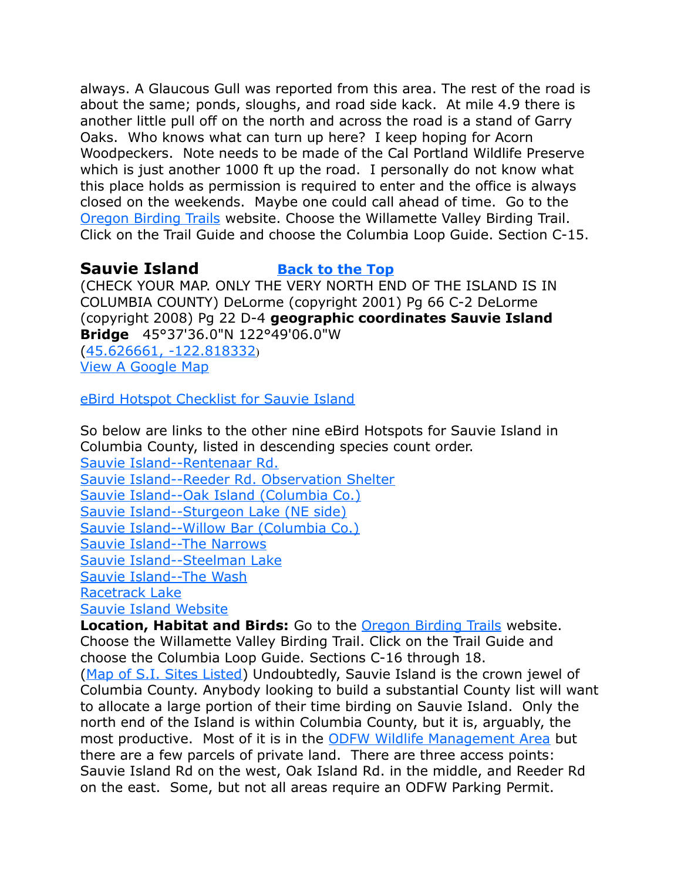always. A Glaucous Gull was reported from this area. The rest of the road is about the same; ponds, sloughs, and road side kack. At mile 4.9 there is another little pull off on the north and across the road is a stand of Garry Oaks. Who knows what can turn up here? I keep hoping for Acorn Woodpeckers. Note needs to be made of the Cal Portland Wildlife Preserve which is just another 1000 ft up the road. I personally do not know what this place holds as permission is required to enter and the office is always closed on the weekends. Maybe one could call ahead of time. Go to the [Oregon Birding Trails](http://www.oregonbirdingtrails.org/) website. Choose the Willamette Valley Birding Trail. Click on the Trail Guide and choose the Columbia Loop Guide. Section C-15.

#### <span id="page-13-0"></span>**Sauvie Island [Back to the Top](#page-0-0)**

(CHECK YOUR MAP. ONLY THE VERY NORTH END OF THE ISLAND IS IN COLUMBIA COUNTY) DeLorme (copyright 2001) Pg 66 C-2 DeLorme (copyright 2008) Pg 22 D-4 **geographic coordinates Sauvie Island Bridge** 45°37'36.0"N 122°49'06.0"W

[\(45.626661, -122.818332](https://www.google.com/maps/place/45%C2%B037)) [View A Google Map](http://maps.google.com/maps/ms?hl=en&ie=UTF8&msa=0&ll=45.626764,-122.817535&spn=0.194237,0.527687&z=12&msid=108036481085398338899.00046dafaa1c9d8d45cab)

[eBird Hotspot Checklist for Sauvie Island](http://ebird.org/ebird/hotspot/L712038)

So below are links to the other nine eBird Hotspots for Sauvie Island in Columbia County, listed in descending species count order.

[Sauvie Island--Rentenaar Rd.](http://ebird.org/ebird/hotspot/L279044?yr=all&m=&rank=mrec) [Sauvie Island--Reeder Rd. Observation Shelter](http://ebird.org/ebird/hotspot/L831977?yr=all&m=&rank=mrec) [Sauvie Island--Oak Island \(Columbia Co.\)](http://ebird.org/ebird/hotspot/L754096?yr=all&m=&rank=mrec) [Sauvie Island--Sturgeon Lake \(NE side\)](http://ebird.org/ebird/hotspot/L971705?yr=all&m=&rank=mrec) [Sauvie Island--Willow Bar \(Columbia Co.\)](http://ebird.org/ebird/hotspot/L2467678?yr=all&m=&rank=mrec) [Sauvie Island--The Narrows](http://ebird.org/ebird/hotspot/L986099?yr=all&m=&rank=mrec) [Sauvie Island--Steelman Lake](http://ebird.org/ebird/hotspot/L2324374?yr=all&m=&rank=mrec) [Sauvie Island--The Wash](http://ebird.org/ebird/hotspot/L991206?yr=all&m=&rank=mrec) [Racetrack Lake](http://ebird.org/ebird/hotspot/L1757223?yr=all&m=&rank=mrec)

[Sauvie Island Website](http://sauvieisland.org/)

**Location, Habitat and Birds:** Go to the [Oregon Birding Trails](http://www.oregonbirdingtrails.org/) website. Choose the Willamette Valley Birding Trail. Click on the Trail Guide and choose the Columbia Loop Guide. Sections C-16 through 18.

[\(Map of S.I. Sites Listed\)](http://goo.gl/maps/yhOiW) Undoubtedly, Sauvie Island is the crown jewel of Columbia County. Anybody looking to build a substantial County list will want to allocate a large portion of their time birding on Sauvie Island. Only the north end of the Island is within Columbia County, but it is, arguably, the most productive. Most of it is in the **ODFW Wildlife Management Area** but there are a few parcels of private land. There are three access points: Sauvie Island Rd on the west, Oak Island Rd. in the middle, and Reeder Rd on the east. Some, but not all areas require an ODFW Parking Permit.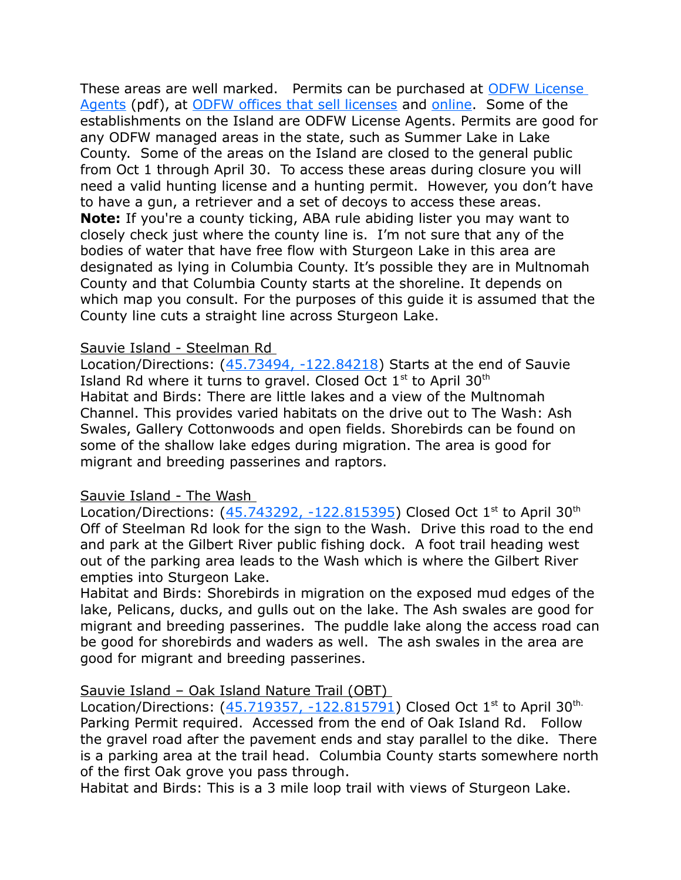These areas are well marked. Permits can be purchased at [ODFW License](http://www.dfw.state.or.us/resources/licenses_regs/docs/Active_Agents.pdf)  [Agents](http://www.dfw.state.or.us/resources/licenses_regs/docs/Active_Agents.pdf) (pdf), at [ODFW offices that sell licenses](http://www.dfw.state.or.us/resources/licenses_regs/odfw_offices.asp) and [online.](http://www.dfw.state.or.us/online_license_sales/index.asp) Some of the establishments on the Island are ODFW License Agents. Permits are good for any ODFW managed areas in the state, such as Summer Lake in Lake County. Some of the areas on the Island are closed to the general public from Oct 1 through April 30. To access these areas during closure you will need a valid hunting license and a hunting permit. However, you don't have to have a gun, a retriever and a set of decoys to access these areas. **Note:** If you're a county ticking, ABA rule abiding lister you may want to closely check just where the county line is. I'm not sure that any of the bodies of water that have free flow with Sturgeon Lake in this area are designated as lying in Columbia County. It's possible they are in Multnomah County and that Columbia County starts at the shoreline. It depends on which map you consult. For the purposes of this guide it is assumed that the County line cuts a straight line across Sturgeon Lake.

#### Sauvie Island - Steelman Rd

Location/Directions:  $(45.73494, -122.84218)$  Starts at the end of Sauvie Island Rd where it turns to gravel. Closed Oct  $1<sup>st</sup>$  to April 30<sup>th</sup> Habitat and Birds: There are little lakes and a view of the Multnomah Channel. This provides varied habitats on the drive out to The Wash: Ash Swales, Gallery Cottonwoods and open fields. Shorebirds can be found on some of the shallow lake edges during migration. The area is good for migrant and breeding passerines and raptors.

#### Sauvie Island - The Wash

Location/Directions:  $(45.743292, -122.815395)$  Closed Oct 1<sup>st</sup> to April 30<sup>th</sup> Off of Steelman Rd look for the sign to the Wash. Drive this road to the end and park at the Gilbert River public fishing dock. A foot trail heading west out of the parking area leads to the Wash which is where the Gilbert River empties into Sturgeon Lake.

Habitat and Birds: Shorebirds in migration on the exposed mud edges of the lake, Pelicans, ducks, and gulls out on the lake. The Ash swales are good for migrant and breeding passerines. The puddle lake along the access road can be good for shorebirds and waders as well. The ash swales in the area are good for migrant and breeding passerines.

#### Sauvie Island – Oak Island Nature Trail (OBT)

Location/Directions:  $(45.719357, -122.815791)$  Closed Oct 1<sup>st</sup> to April 30<sup>th.</sup> Parking Permit required. Accessed from the end of Oak Island Rd. Follow the gravel road after the pavement ends and stay parallel to the dike. There is a parking area at the trail head. Columbia County starts somewhere north of the first Oak grove you pass through.

Habitat and Birds: This is a 3 mile loop trail with views of Sturgeon Lake.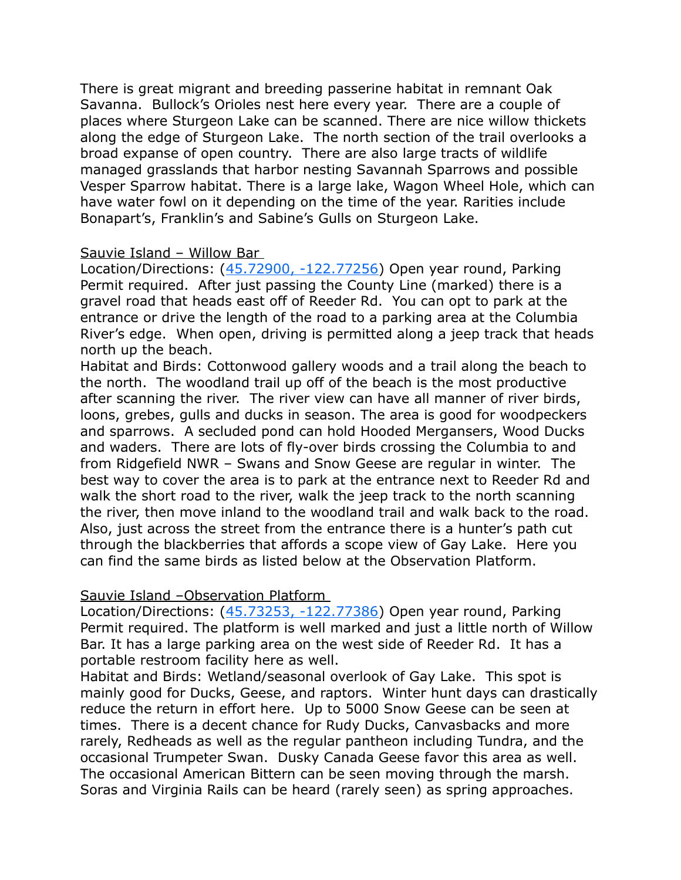There is great migrant and breeding passerine habitat in remnant Oak Savanna. Bullock's Orioles nest here every year. There are a couple of places where Sturgeon Lake can be scanned. There are nice willow thickets along the edge of Sturgeon Lake. The north section of the trail overlooks a broad expanse of open country. There are also large tracts of wildlife managed grasslands that harbor nesting Savannah Sparrows and possible Vesper Sparrow habitat. There is a large lake, Wagon Wheel Hole, which can have water fowl on it depending on the time of the year. Rarities include Bonapart's, Franklin's and Sabine's Gulls on Sturgeon Lake.

#### Sauvie Island – Willow Bar

Location/Directions: [\(45.72900, -122.77256\)](https://www.google.com/maps/place/45%C2%B043) Open year round, Parking Permit required. After just passing the County Line (marked) there is a gravel road that heads east off of Reeder Rd. You can opt to park at the entrance or drive the length of the road to a parking area at the Columbia River's edge. When open, driving is permitted along a jeep track that heads north up the beach.

Habitat and Birds: Cottonwood gallery woods and a trail along the beach to the north. The woodland trail up off of the beach is the most productive after scanning the river. The river view can have all manner of river birds, loons, grebes, gulls and ducks in season. The area is good for woodpeckers and sparrows. A secluded pond can hold Hooded Mergansers, Wood Ducks and waders. There are lots of fly-over birds crossing the Columbia to and from Ridgefield NWR – Swans and Snow Geese are regular in winter. The best way to cover the area is to park at the entrance next to Reeder Rd and walk the short road to the river, walk the jeep track to the north scanning the river, then move inland to the woodland trail and walk back to the road. Also, just across the street from the entrance there is a hunter's path cut through the blackberries that affords a scope view of Gay Lake. Here you can find the same birds as listed below at the Observation Platform.

#### Sauvie Island –Observation Platform

Location/Directions: [\(45.73253, -122.77386\)](https://www.google.com/maps/place/45%C2%B043) Open year round, Parking Permit required. The platform is well marked and just a little north of Willow Bar. It has a large parking area on the west side of Reeder Rd. It has a portable restroom facility here as well.

Habitat and Birds: Wetland/seasonal overlook of Gay Lake. This spot is mainly good for Ducks, Geese, and raptors. Winter hunt days can drastically reduce the return in effort here. Up to 5000 Snow Geese can be seen at times. There is a decent chance for Rudy Ducks, Canvasbacks and more rarely, Redheads as well as the regular pantheon including Tundra, and the occasional Trumpeter Swan. Dusky Canada Geese favor this area as well. The occasional American Bittern can be seen moving through the marsh. Soras and Virginia Rails can be heard (rarely seen) as spring approaches.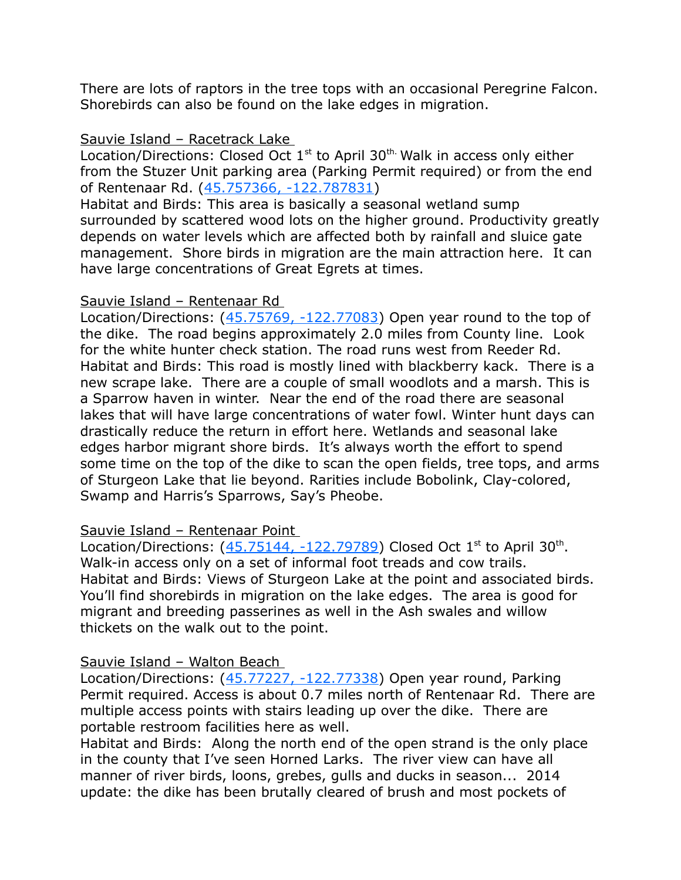There are lots of raptors in the tree tops with an occasional Peregrine Falcon. Shorebirds can also be found on the lake edges in migration.

#### Sauvie Island – Racetrack Lake

Location/Directions: Closed Oct  $1<sup>st</sup>$  to April 30<sup>th.</sup> Walk in access only either from the Stuzer Unit parking area (Parking Permit required) or from the end of Rentenaar Rd. [\(45.757366, -122.787831\)](https://www.google.com/maps/place/45%C2%B045)

Habitat and Birds: This area is basically a seasonal wetland sump surrounded by scattered wood lots on the higher ground. Productivity greatly depends on water levels which are affected both by rainfall and sluice gate management. Shore birds in migration are the main attraction here. It can have large concentrations of Great Egrets at times.

#### Sauvie Island – Rentenaar Rd

Location/Directions:  $(45.75769, -122.77083)$  Open year round to the top of the dike. The road begins approximately 2.0 miles from County line. Look for the white hunter check station. The road runs west from Reeder Rd. Habitat and Birds: This road is mostly lined with blackberry kack. There is a new scrape lake. There are a couple of small woodlots and a marsh. This is a Sparrow haven in winter. Near the end of the road there are seasonal lakes that will have large concentrations of water fowl. Winter hunt days can drastically reduce the return in effort here. Wetlands and seasonal lake edges harbor migrant shore birds. It's always worth the effort to spend some time on the top of the dike to scan the open fields, tree tops, and arms of Sturgeon Lake that lie beyond. Rarities include Bobolink, Clay-colored, Swamp and Harris's Sparrows, Say's Pheobe.

#### Sauvie Island – Rentenaar Point

Location/Directions:  $(45.75144, -122.79789)$  Closed Oct 1<sup>st</sup> to April 30<sup>th</sup>. Walk-in access only on a set of informal foot treads and cow trails. Habitat and Birds: Views of Sturgeon Lake at the point and associated birds. You'll find shorebirds in migration on the lake edges. The area is good for migrant and breeding passerines as well in the Ash swales and willow thickets on the walk out to the point.

#### Sauvie Island – Walton Beach

Location/Directions: [\(45.77227, -122.77338\)](https://www.google.com/maps/place/45%C2%B046) Open year round, Parking Permit required. Access is about 0.7 miles north of Rentenaar Rd. There are multiple access points with stairs leading up over the dike. There are portable restroom facilities here as well.

Habitat and Birds: Along the north end of the open strand is the only place in the county that I've seen Horned Larks. The river view can have all manner of river birds, loons, grebes, gulls and ducks in season... 2014 update: the dike has been brutally cleared of brush and most pockets of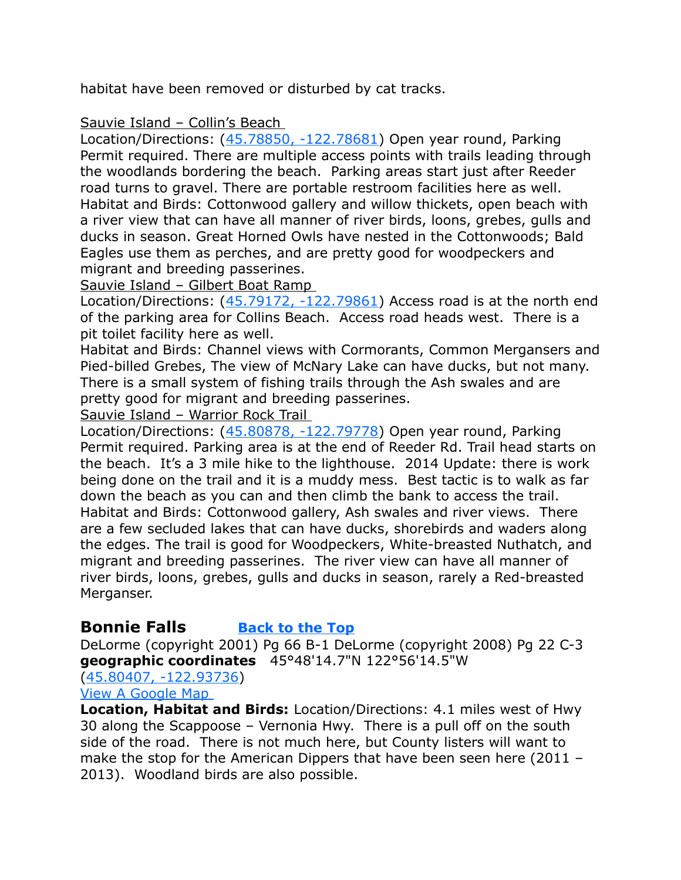habitat have been removed or disturbed by cat tracks.

### Sauvie Island – Collin's Beach

Location/Directions: [\(45.78850, -122.78681\)](https://www.google.com/maps/place/45%C2%B047) Open year round, Parking Permit required. There are multiple access points with trails leading through the woodlands bordering the beach. Parking areas start just after Reeder road turns to gravel. There are portable restroom facilities here as well. Habitat and Birds: Cottonwood gallery and willow thickets, open beach with a river view that can have all manner of river birds, loons, grebes, gulls and ducks in season. Great Horned Owls have nested in the Cottonwoods; Bald Eagles use them as perches, and are pretty good for woodpeckers and migrant and breeding passerines.

Sauvie Island – Gilbert Boat Ramp

Location/Directions: [\(45.79172, -122.79861\)](https://www.google.com/maps/place/45%C2%B047) Access road is at the north end of the parking area for Collins Beach. Access road heads west. There is a pit toilet facility here as well.

Habitat and Birds: Channel views with Cormorants, Common Mergansers and Pied-billed Grebes, The view of McNary Lake can have ducks, but not many. There is a small system of fishing trails through the Ash swales and are pretty good for migrant and breeding passerines.

Sauvie Island – Warrior Rock Trail

Location/Directions: [\(45.80878, -122.79778\)](https://www.google.com/maps/place/45%C2%B048) Open year round, Parking Permit required. Parking area is at the end of Reeder Rd. Trail head starts on the beach. It's a 3 mile hike to the lighthouse. 2014 Update: there is work being done on the trail and it is a muddy mess. Best tactic is to walk as far down the beach as you can and then climb the bank to access the trail. Habitat and Birds: Cottonwood gallery, Ash swales and river views. There are a few secluded lakes that can have ducks, shorebirds and waders along the edges. The trail is good for Woodpeckers, White-breasted Nuthatch, and migrant and breeding passerines. The river view can have all manner of river birds, loons, grebes, gulls and ducks in season, rarely a Red-breasted Merganser.

# <span id="page-17-0"></span>**Bonnie Falls [Back to the Top](#page-0-0)**

DeLorme (copyright 2001) Pg 66 B-1 DeLorme (copyright 2008) Pg 22 C-3 **geographic coordinates** 45°48'14.7"N 122°56'14.5"W

[\(45.80407, -122.93736\)](https://www.google.com/maps/place/45%C2%B048)

[View A Google Map](http://maps.google.com/maps/ms?hl=en&ie=UTF8&msa=0&ll=45.939691,-122.865601&spn=1.545179,4.221497&z=9&msid=108036481085398338899.00046daeaf3672eff0e1a) 

**Location, Habitat and Birds:** Location/Directions: 4.1 miles west of Hwy 30 along the Scappoose – Vernonia Hwy. There is a pull off on the south side of the road. There is not much here, but County listers will want to make the stop for the American Dippers that have been seen here (2011 – 2013). Woodland birds are also possible.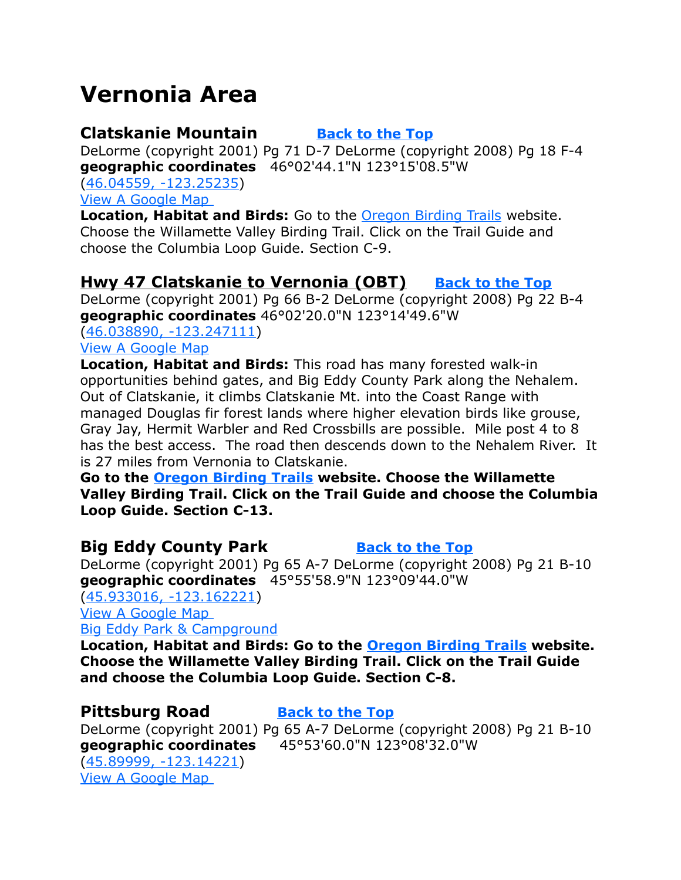# <span id="page-18-4"></span>**Vernonia Area**

# <span id="page-18-1"></span>**Clatskanie Mountain [Back to the Top](#page-0-0)**

<span id="page-18-0"></span>

DeLorme (copyright 2001) Pg 71 D-7 DeLorme (copyright 2008) Pg 18 F-4 **geographic coordinates** 46°02'44.1"N 123°15'08.5"W

[\(46.04559, -123.25235\)](https://www.google.com/maps/place/46%C2%B002) [View A Google Map](https://mapsengine.google.com/map/edit?mid=zVl1oTDALjf4.kjN1XqXD7Dq4) 

**Location, Habitat and Birds:** Go to the [Oregon Birding Trails](http://www.oregonbirdingtrails.org/) website. Choose the Willamette Valley Birding Trail. Click on the Trail Guide and choose the Columbia Loop Guide. Section C-9.

# **[Hwy 47 Clatskanie to Vernonia \(OBT\)](#page-18-0) [Back to the Top](#page-0-0)**

DeLorme (copyright 2001) Pg 66 B-2 DeLorme (copyright 2008) Pg 22 B-4 **geographic coordinates** 46°02'20.0"N 123°14'49.6"W

[\(46.038890, -123.247111\)](https://www.google.com/maps/place/46%C2%B002) [View A Google Map](http://maps.google.com/maps/ms?hl=en&ie=UTF8&msa=0&ll=45.939691,-122.865601&spn=1.545179,4.221497&z=9&msid=108036481085398338899.00046daeaf3672eff0e1a)

**Location, Habitat and Birds:** This road has many forested walk-in opportunities behind gates, and Big Eddy County Park along the Nehalem. Out of Clatskanie, it climbs Clatskanie Mt. into the Coast Range with managed Douglas fir forest lands where higher elevation birds like grouse, Gray Jay, Hermit Warbler and Red Crossbills are possible. Mile post 4 to 8 has the best access. The road then descends down to the Nehalem River. It is 27 miles from Vernonia to Clatskanie.

**Go to the [Oregon Birding Trails](http://www.oregonbirdingtrails.org/) website. Choose the Willamette Valley Birding Trail. Click on the Trail Guide and choose the Columbia Loop Guide. Section C-13.**

# <span id="page-18-3"></span>**Big Eddy County Park [Back to the Top](#page-0-0)**

DeLorme (copyright 2001) Pg 65 A-7 DeLorme (copyright 2008) Pg 21 B-10 **geographic coordinates** 45°55'58.9"N 123°09'44.0"W

[\(45.933016, -123.162221\)](https://www.google.com/maps/place/45%C2%B055) [View A Google Map](http://maps.google.com/maps/ms?hl=en&ie=UTF8&msa=0&ll=45.861803,-122.950058&spn=0.386841,1.055374&z=10&msid=108036481085398338899.00046dae3c72891cd21cf) 

[Big Eddy Park & Campground](http://www.freeguidetonwcamping.com/Oregon_Washington_Main/Oregon/Portland_Area/Big_Eddy_Park.htm)

**Location, Habitat and Birds: Go to the [Oregon Birding Trails](http://www.oregonbirdingtrails.org/) website. Choose the Willamette Valley Birding Trail. Click on the Trail Guide and choose the Columbia Loop Guide. Section C-8.**

# <span id="page-18-2"></span>**Pittsburg Road [Back to the Top](#page-0-0)**

DeLorme (copyright 2001) Pg 65 A-7 DeLorme (copyright 2008) Pg 21 B-10 **geographic coordinates** 45°53'60.0"N 123°08'32.0"W [\(45.89999, -123.14221\)](https://www.google.com/maps/place/45%C2%B053) [View A Google Map](http://maps.google.com/maps/ms?hl=en&ie=UTF8&msa=0&ll=45.939691,-122.865601&spn=1.545179,4.221497&z=9&msid=108036481085398338899.00046daeaf3672eff0e1a)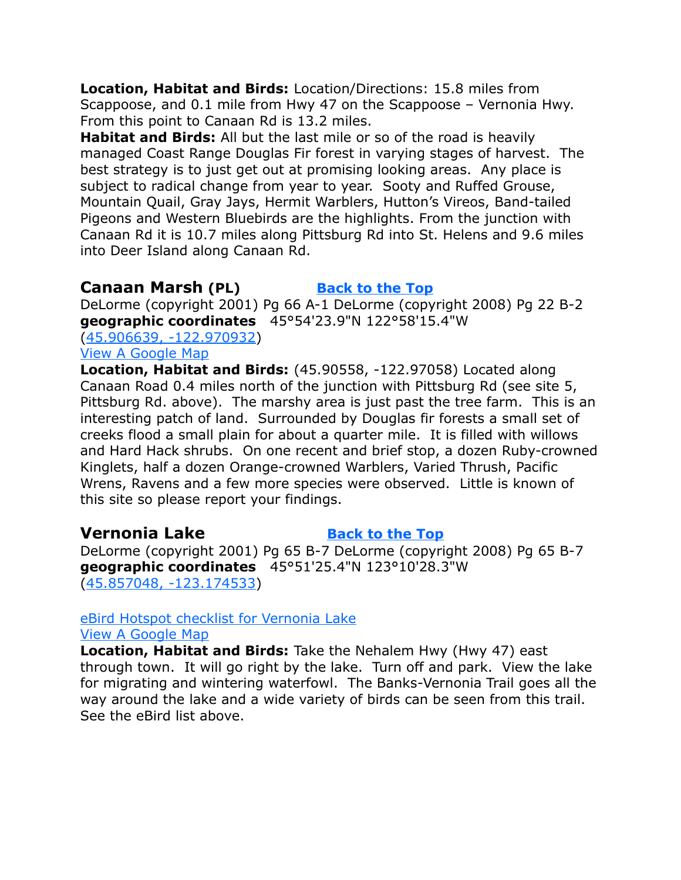**Location, Habitat and Birds:** Location/Directions: 15.8 miles from Scappoose, and 0.1 mile from Hwy 47 on the Scappoose – Vernonia Hwy. From this point to Canaan Rd is 13.2 miles.

**Habitat and Birds:** All but the last mile or so of the road is heavily managed Coast Range Douglas Fir forest in varying stages of harvest. The best strategy is to just get out at promising looking areas. Any place is subject to radical change from year to year. Sooty and Ruffed Grouse, Mountain Quail, Gray Jays, Hermit Warblers, Hutton's Vireos, Band-tailed Pigeons and Western Bluebirds are the highlights. From the junction with Canaan Rd it is 10.7 miles along Pittsburg Rd into St. Helens and 9.6 miles into Deer Island along Canaan Rd.

## <span id="page-19-1"></span>**Canaan Marsh** (PL) **[Back to the Top](#page-0-0)**

DeLorme (copyright 2001) Pg 66 A-1 DeLorme (copyright 2008) Pg 22 B-2 **geographic coordinates** 45°54'23.9"N 122°58'15.4"W

[\(45.906639, -122.970932\)](https://www.google.com/maps/place/45%C2%B054)

#### [View A Google Map](http://maps.google.com/maps/ms?hl=en&ie=UTF8&msa=0&ll=45.939691,-122.865601&spn=1.545179,4.221497&z=9&msid=108036481085398338899.00046daeaf3672eff0e1a)

**Location, Habitat and Birds:** (45.90558, -122.97058) Located along Canaan Road 0.4 miles north of the junction with Pittsburg Rd (see site 5, Pittsburg Rd. above). The marshy area is just past the tree farm. This is an interesting patch of land. Surrounded by Douglas fir forests a small set of creeks flood a small plain for about a quarter mile. It is filled with willows and Hard Hack shrubs. On one recent and brief stop, a dozen Ruby-crowned Kinglets, half a dozen Orange-crowned Warblers, Varied Thrush, Pacific Wrens, Ravens and a few more species were observed. Little is known of this site so please report your findings.

## <span id="page-19-0"></span>**Vernonia Lake [Back to the Top](#page-0-0)**

DeLorme (copyright 2001) Pg 65 B-7 DeLorme (copyright 2008) Pg 65 B-7 **geographic coordinates** 45°51'25.4"N 123°10'28.3"W [\(45.857048, -123.174533\)](https://www.google.com/maps/place/45%C2%B051)

## [eBird Hotspot checklist for Vernonia Lake](http://ebird.org/ebird/hotspots)

#### [View A Google Map](http://maps.google.com/maps/ms?hl=en&ie=UTF8&msa=0&ll=45.861803,-122.950058&spn=0.386841,1.055374&z=10&msid=108036481085398338899.00046dae3c72891cd21cf)

**Location, Habitat and Birds:** Take the Nehalem Hwy (Hwy 47) east through town. It will go right by the lake. Turn off and park. View the lake for migrating and wintering waterfowl. The Banks-Vernonia Trail goes all the way around the lake and a wide variety of birds can be seen from this trail. See the eBird list above.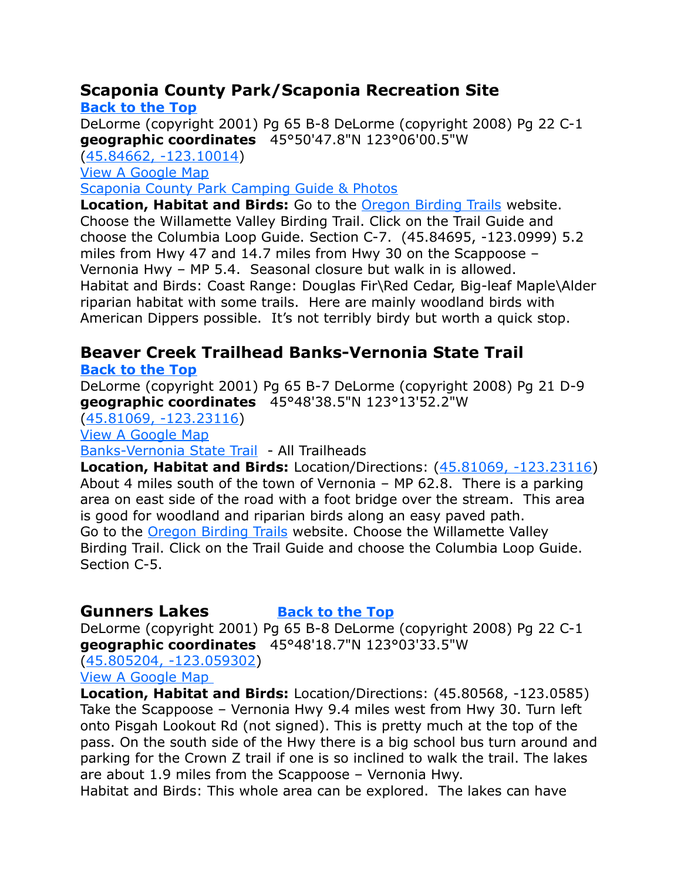# <span id="page-20-0"></span>**Scaponia County Park/Scaponia Recreation Site**

**[Back to the Top](#page-0-0)** DeLorme (copyright 2001) Pg 65 B-8 DeLorme (copyright 2008) Pg 22 C-1 **geographic coordinates** 45°50'47.8"N 123°06'00.5"W [\(45.84662, -123.10014\)](https://www.google.com/maps/place/45%C2%B050) [View A Google Map](http://maps.google.com/maps/ms?hl=en&ie=UTF8&msa=0&ll=45.861803,-122.950058&spn=0.386841,1.055374&z=10&msid=108036481085398338899.00046dae3c72891cd21cf) [Scaponia County Park Camping Guide & Photos](http://www.freeguidetonwcamping.com/Oregon_Washington_Main/Oregon/Portland_Area/Scaponia_County_Park.htm) **Location, Habitat and Birds:** Go to the [Oregon Birding Trails](http://www.oregonbirdingtrails.org/) website.

Choose the Willamette Valley Birding Trail. Click on the Trail Guide and choose the Columbia Loop Guide. Section C-7. (45.84695, -123.0999) 5.2 miles from Hwy 47 and 14.7 miles from Hwy 30 on the Scappoose – Vernonia Hwy – MP 5.4. Seasonal closure but walk in is allowed. Habitat and Birds: Coast Range: Douglas Fir\Red Cedar, Big-leaf Maple\Alder riparian habitat with some trails. Here are mainly woodland birds with American Dippers possible. It's not terribly birdy but worth a quick stop.

# <span id="page-20-2"></span>**Beaver Creek Trailhead Banks-Vernonia State Trail**

**[Back to the Top](#page-0-0)**

DeLorme (copyright 2001) Pg 65 B-7 DeLorme (copyright 2008) Pg 21 D-9 **geographic coordinates** 45°48'38.5"N 123°13'52.2"W

[\(45.81069, -123.23116\)](https://www.google.com/maps/place/45%C2%B048)

[View A Google Map](http://maps.google.com/maps/ms?hl=en&ie=UTF8&msa=0&msid=108036481085398338899.00046dad81bddaac4bc90&ll=45.683158,-123.32428&spn=1.260653,2.798767&z=9)

[Banks-Vernonia State Trail](http://www.oregonstateparks.org/park_145.php) - All Trailheads

**Location, Habitat and Birds:** Location/Directions: [\(45.81069, -123.23116\)](https://www.google.com/maps/place/45%C2%B048) About 4 miles south of the town of Vernonia – MP 62.8. There is a parking area on east side of the road with a foot bridge over the stream. This area is good for woodland and riparian birds along an easy paved path. Go to the [Oregon Birding Trails](http://www.oregonbirdingtrails.org/) website. Choose the Willamette Valley Birding Trail. Click on the Trail Guide and choose the Columbia Loop Guide. Section C-5.

# <span id="page-20-1"></span>**Gunners Lakes [Back to the Top](#page-0-0)**

DeLorme (copyright 2001) Pg 65 B-8 DeLorme (copyright 2008) Pg 22 C-1 **geographic coordinates** 45°48'18.7"N 123°03'33.5"W [\(45.805204, -123.059302\)](https://www.google.com/maps/place/45%C2%B048)

[View A Google Map](http://maps.google.com/maps/ms?hl=en&ie=UTF8&msa=0&ll=45.939691,-122.865601&spn=1.545179,4.221497&z=9&msid=108036481085398338899.00046daeaf3672eff0e1a) 

**Location, Habitat and Birds:** Location/Directions: (45.80568, -123.0585) Take the Scappoose – Vernonia Hwy 9.4 miles west from Hwy 30. Turn left onto Pisgah Lookout Rd (not signed). This is pretty much at the top of the pass. On the south side of the Hwy there is a big school bus turn around and parking for the Crown Z trail if one is so inclined to walk the trail. The lakes are about 1.9 miles from the Scappoose – Vernonia Hwy.

Habitat and Birds: This whole area can be explored. The lakes can have